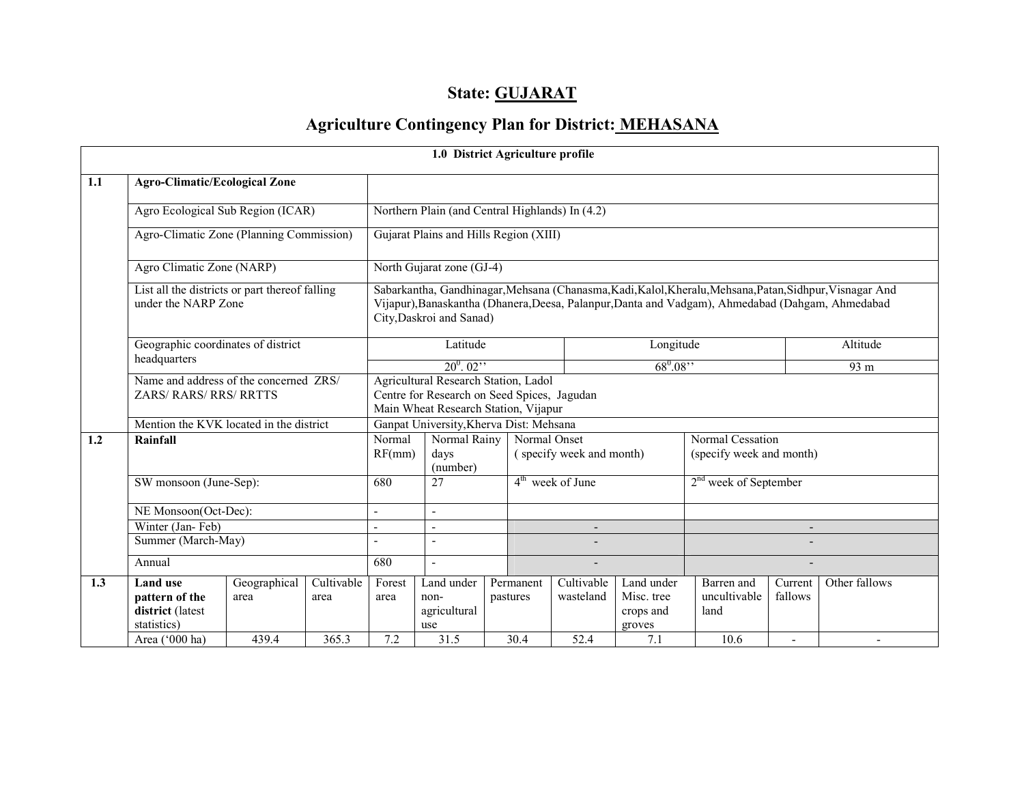# State: GUJARAT

# Agriculture Contingency Plan for District: MEHASANA

|     |                                                                                                             |                      |                    |                                                                                                                             | 1.0 District Agriculture profile                                                                                                                                                                                                         |  |                       |                                                                                          |                                                 |                                    |                    |                 |  |
|-----|-------------------------------------------------------------------------------------------------------------|----------------------|--------------------|-----------------------------------------------------------------------------------------------------------------------------|------------------------------------------------------------------------------------------------------------------------------------------------------------------------------------------------------------------------------------------|--|-----------------------|------------------------------------------------------------------------------------------|-------------------------------------------------|------------------------------------|--------------------|-----------------|--|
| 1.1 | <b>Agro-Climatic/Ecological Zone</b>                                                                        |                      |                    |                                                                                                                             |                                                                                                                                                                                                                                          |  |                       |                                                                                          |                                                 |                                    |                    |                 |  |
|     | Agro Ecological Sub Region (ICAR)                                                                           |                      |                    | Northern Plain (and Central Highlands) In (4.2)                                                                             |                                                                                                                                                                                                                                          |  |                       |                                                                                          |                                                 |                                    |                    |                 |  |
|     | Agro-Climatic Zone (Planning Commission)                                                                    |                      |                    |                                                                                                                             | Gujarat Plains and Hills Region (XIII)                                                                                                                                                                                                   |  |                       |                                                                                          |                                                 |                                    |                    |                 |  |
|     | Agro Climatic Zone (NARP)                                                                                   |                      |                    |                                                                                                                             | North Gujarat zone (GJ-4)                                                                                                                                                                                                                |  |                       |                                                                                          |                                                 |                                    |                    |                 |  |
|     | List all the districts or part thereof falling<br>under the NARP Zone<br>Geographic coordinates of district |                      |                    |                                                                                                                             | Sabarkantha, Gandhinagar, Mehsana (Chanasma, Kadi, Kalol, Kheralu, Mehsana, Patan, Sidhpur, Visnagar And<br>Vijapur), Banaskantha (Dhanera, Deesa, Palanpur, Danta and Vadgam), Ahmedabad (Dahgam, Ahmedabad<br>City, Daskroi and Sanad) |  |                       |                                                                                          |                                                 |                                    |                    |                 |  |
|     |                                                                                                             |                      |                    |                                                                                                                             | Latitude                                                                                                                                                                                                                                 |  |                       |                                                                                          | Longitude                                       |                                    |                    | Altitude        |  |
|     | headquarters<br>Name and address of the concerned ZRS/<br><b>ZARS/ RARS/ RRS/ RRTTS</b>                     |                      |                    | $20^0.02$ <sup>"</sup>                                                                                                      |                                                                                                                                                                                                                                          |  |                       |                                                                                          | $68^0.08$ "                                     |                                    |                    | 93 <sub>m</sub> |  |
|     |                                                                                                             |                      |                    | Agricultural Research Station, Ladol<br>Centre for Research on Seed Spices, Jagudan<br>Main Wheat Research Station, Vijapur |                                                                                                                                                                                                                                          |  |                       |                                                                                          |                                                 |                                    |                    |                 |  |
|     | Mention the KVK located in the district                                                                     |                      |                    |                                                                                                                             | Ganpat University, Kherva Dist: Mehsana                                                                                                                                                                                                  |  |                       |                                                                                          |                                                 |                                    |                    |                 |  |
| 1.2 | Rainfall                                                                                                    |                      |                    | Normal Rainy<br>Normal<br>RF(mm)<br>days<br>(number)                                                                        |                                                                                                                                                                                                                                          |  |                       | Normal Cessation<br>Normal Onset<br>(specify week and month)<br>(specify week and month) |                                                 |                                    |                    |                 |  |
|     | SW monsoon (June-Sep):                                                                                      |                      |                    | 680                                                                                                                         | $\overline{27}$                                                                                                                                                                                                                          |  |                       | $4th$ week of June                                                                       |                                                 | 2 <sup>nd</sup> week of September  |                    |                 |  |
|     | NE Monsoon(Oct-Dec):                                                                                        |                      |                    |                                                                                                                             | $\overline{a}$                                                                                                                                                                                                                           |  |                       |                                                                                          |                                                 |                                    |                    |                 |  |
|     | Winter (Jan-Feb)                                                                                            |                      |                    | $\blacksquare$                                                                                                              | $\overline{a}$                                                                                                                                                                                                                           |  |                       | $\overline{\phantom{a}}$                                                                 |                                                 |                                    |                    |                 |  |
|     | Summer (March-May)                                                                                          |                      |                    |                                                                                                                             |                                                                                                                                                                                                                                          |  |                       |                                                                                          |                                                 |                                    |                    |                 |  |
|     | Annual                                                                                                      |                      | 680                | $\sim$                                                                                                                      |                                                                                                                                                                                                                                          |  |                       |                                                                                          |                                                 |                                    |                    |                 |  |
| 1.3 | <b>Land use</b><br>pattern of the<br>district (latest<br>statistics)                                        | Geographical<br>area | Cultivable<br>area | Forest<br>area                                                                                                              | Land under<br>non-<br>agricultural<br>use                                                                                                                                                                                                |  | Permanent<br>pastures | Cultivable<br>wasteland                                                                  | Land under<br>Misc. tree<br>crops and<br>groves | Barren and<br>uncultivable<br>land | Current<br>fallows | Other fallows   |  |
|     | Area ('000 ha)                                                                                              | 439.4                | 365.3              | 7.2                                                                                                                         | 31.5                                                                                                                                                                                                                                     |  | 30.4                  | 52.4                                                                                     | 7.1                                             | 10.6                               | $\overline{a}$     |                 |  |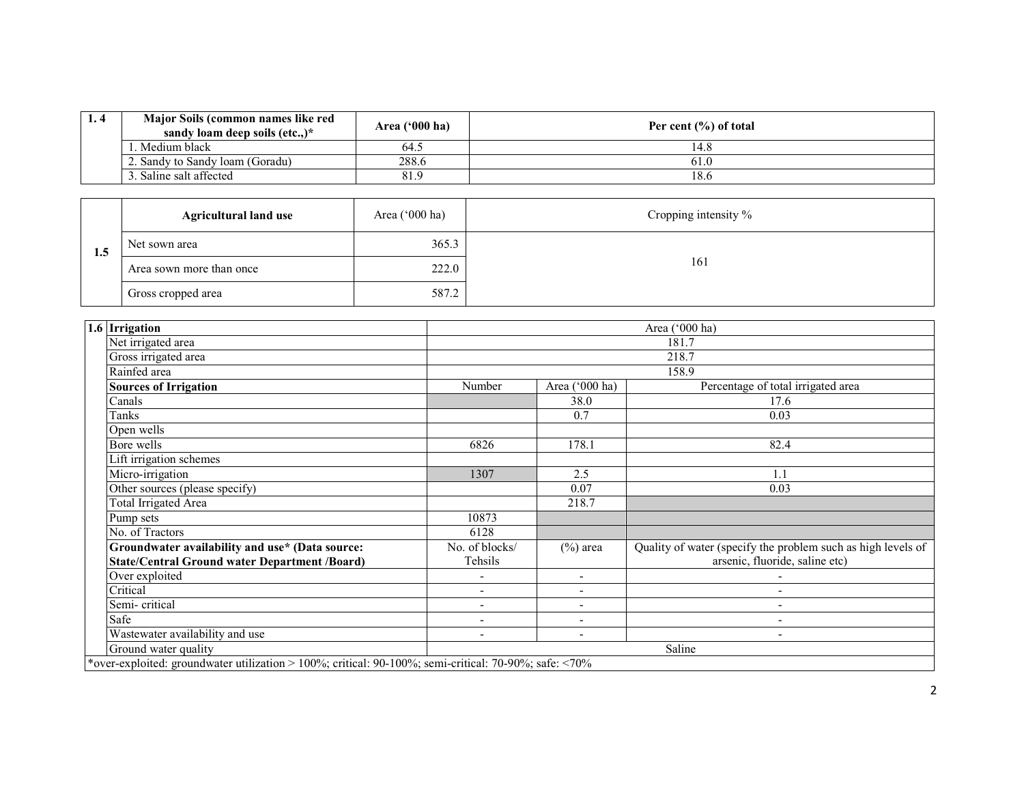| 1.4 | Major Soils (common names like red<br>sandy loam deep soils (etc)* | Area $(900)$ ha) | Per cent $(\% )$ of total |
|-----|--------------------------------------------------------------------|------------------|---------------------------|
|     | . Medium black                                                     | 64.5             | 14.8                      |
|     | 2. Sandy to Sandy Ioam (Goradu)                                    | 288.6            | 61.0                      |
|     | 3. Saline salt affected                                            | 81.9             | 18.6                      |

| 1.5 | <b>Agricultural land use</b> | Area $(^{\circ}000$ ha) | Cropping intensity % |
|-----|------------------------------|-------------------------|----------------------|
|     | Net sown area                | 365.3                   |                      |
|     | Area sown more than once     | 222.0                   | 161                  |
|     | Gross cropped area           | 587.2                   |                      |

| 1.6 Irrigation                                                                                        |                          |                          | Area ('000 ha)                                               |  |  |  |  |
|-------------------------------------------------------------------------------------------------------|--------------------------|--------------------------|--------------------------------------------------------------|--|--|--|--|
| Net irrigated area                                                                                    |                          |                          | 181.7                                                        |  |  |  |  |
| Gross irrigated area                                                                                  | 218.7                    |                          |                                                              |  |  |  |  |
| Rainfed area                                                                                          |                          |                          | 158.9                                                        |  |  |  |  |
| <b>Sources of Irrigation</b>                                                                          | Number                   | Area ('000 ha)           | Percentage of total irrigated area                           |  |  |  |  |
| Canals                                                                                                |                          | 38.0                     | 17.6                                                         |  |  |  |  |
| Tanks                                                                                                 |                          | 0.7                      | 0.03                                                         |  |  |  |  |
| Open wells                                                                                            |                          |                          |                                                              |  |  |  |  |
| Bore wells                                                                                            | 6826                     | 178.1                    | 82.4                                                         |  |  |  |  |
| Lift irrigation schemes                                                                               |                          |                          |                                                              |  |  |  |  |
| Micro-irrigation                                                                                      | 1307                     | 2.5                      | 1.1                                                          |  |  |  |  |
| Other sources (please specify)                                                                        |                          | 0.07                     | 0.03                                                         |  |  |  |  |
| <b>Total Irrigated Area</b>                                                                           |                          | 218.7                    |                                                              |  |  |  |  |
| Pump sets                                                                                             | 10873                    |                          |                                                              |  |  |  |  |
| No. of Tractors                                                                                       | 6128                     |                          |                                                              |  |  |  |  |
| Groundwater availability and use* (Data source:                                                       | No. of blocks/           | $(\%)$ area              | Quality of water (specify the problem such as high levels of |  |  |  |  |
| <b>State/Central Ground water Department /Board)</b>                                                  | Tehsils                  |                          | arsenic, fluoride, saline etc)                               |  |  |  |  |
| Over exploited                                                                                        | $\overline{\phantom{a}}$ | $\overline{\phantom{0}}$ |                                                              |  |  |  |  |
| Critical                                                                                              | $\overline{\phantom{a}}$ | $\overline{\phantom{0}}$ |                                                              |  |  |  |  |
| Semi-critical                                                                                         | $\qquad \qquad -$        | $\overline{\phantom{0}}$ | $\overline{\phantom{a}}$                                     |  |  |  |  |
| Safe                                                                                                  | $\blacksquare$           |                          |                                                              |  |  |  |  |
| Wastewater availability and use                                                                       | $\overline{\phantom{a}}$ | $\overline{\phantom{a}}$ | $\overline{\phantom{a}}$                                     |  |  |  |  |
| Ground water quality                                                                                  | Saline                   |                          |                                                              |  |  |  |  |
| *over-exploited: groundwater utilization > 100%; critical: 90-100%; semi-critical: 70-90%; safe: <70% |                          |                          |                                                              |  |  |  |  |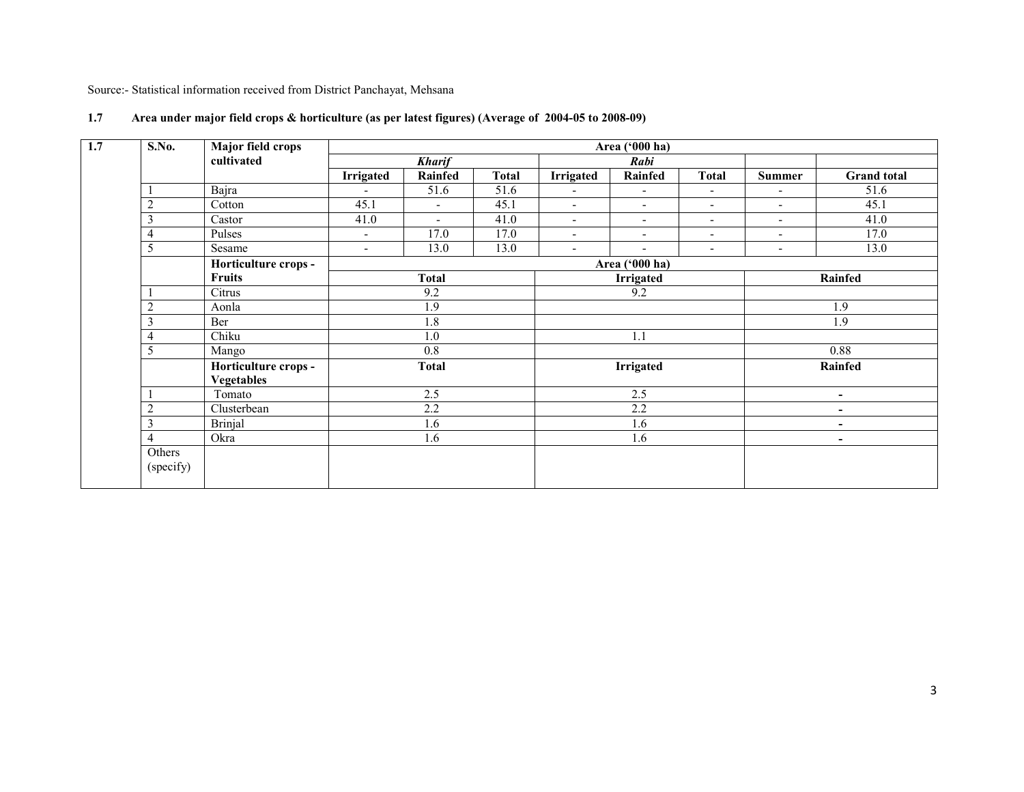Source:- Statistical information received from District Panchayat, Mehsana

| S.No.               | Major field crops    |                          |                          |              |                              | Area ('000 ha)           |                          |                          |                    |  |
|---------------------|----------------------|--------------------------|--------------------------|--------------|------------------------------|--------------------------|--------------------------|--------------------------|--------------------|--|
|                     | cultivated           |                          | <b>Kharif</b>            |              |                              | Rabi                     |                          |                          |                    |  |
|                     |                      | <b>Irrigated</b>         | <b>Rainfed</b>           | <b>Total</b> | <b>Irrigated</b>             | <b>Rainfed</b>           | <b>Total</b>             | Summer                   | <b>Grand</b> total |  |
|                     | Bajra                | $\overline{\phantom{0}}$ | 51.6                     | 51.6         | $\overline{a}$               | $\sim$                   | $\blacksquare$           | $\blacksquare$           | 51.6               |  |
| $\overline{c}$      | Cotton               | 45.1                     | $\blacksquare$           | 45.1         | $\qquad \qquad \blacksquare$ | $\blacksquare$           | $\overline{\phantom{a}}$ | $\overline{\phantom{a}}$ | 45.1               |  |
| 3                   | Castor               | 41.0                     | $\overline{\phantom{0}}$ | 41.0         | $\blacksquare$               | $\overline{\phantom{a}}$ | $\overline{\phantom{a}}$ | $\overline{\phantom{a}}$ | 41.0               |  |
| 4                   | Pulses               | $\overline{\phantom{a}}$ | 17.0                     | 17.0         | ÷,                           | $\overline{\phantom{a}}$ | $\blacksquare$           | $\blacksquare$           | 17.0               |  |
| 5                   | Sesame               | $\overline{\phantom{0}}$ | 13.0                     | 13.0         | $\blacksquare$               | $\blacksquare$           | $\blacksquare$           | $\overline{\phantom{a}}$ | 13.0               |  |
|                     | Horticulture crops - |                          |                          |              | Area ('000 ha)               |                          |                          |                          |                    |  |
|                     | <b>Fruits</b>        | <b>Total</b>             |                          |              | Irrigated                    |                          |                          | Rainfed                  |                    |  |
|                     | Citrus               | 9.2                      |                          |              |                              | 9.2                      |                          |                          |                    |  |
| $\overline{2}$      | Aonla                | 1.9                      |                          |              |                              |                          |                          |                          | 1.9                |  |
| 3                   | Ber                  |                          | 1.8                      |              |                              |                          |                          | 1.9                      |                    |  |
| 4                   | Chiku                |                          | 1.0                      |              | 1.1                          |                          |                          |                          |                    |  |
| 5                   | Mango                |                          | 0.8                      |              |                              |                          |                          |                          | $\overline{0.88}$  |  |
|                     | Horticulture crops - |                          | <b>Total</b>             |              | <b>Irrigated</b>             |                          |                          | <b>Rainfed</b>           |                    |  |
|                     | <b>Vegetables</b>    |                          |                          |              |                              |                          |                          |                          |                    |  |
|                     | Tomato               |                          | 2.5                      |              |                              | 2.5                      |                          | $\overline{\phantom{a}}$ |                    |  |
| $\overline{2}$      | Clusterbean          |                          | 2.2                      |              |                              | 2.2                      |                          | $\overline{\phantom{a}}$ |                    |  |
| 3                   | <b>Brinjal</b>       |                          | 1.6                      |              |                              | 1.6                      |                          |                          | ۰                  |  |
| 4                   | Okra                 | 1.6                      |                          |              | 1.6                          |                          |                          | $\overline{\phantom{a}}$ |                    |  |
| Others<br>(specify) |                      |                          |                          |              |                              |                          |                          |                          |                    |  |

## 1.7 Area under major field crops & horticulture (as per latest figures) (Average of 2004-05 to 2008-09)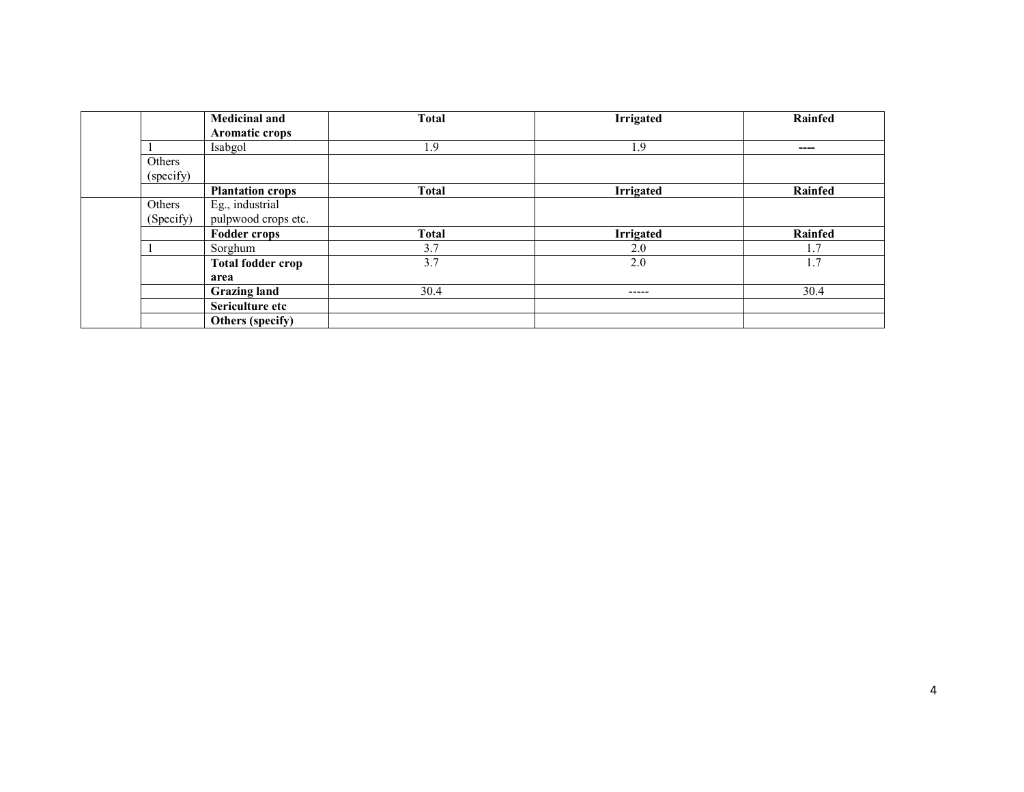|           | <b>Medicinal and</b>     | <b>Total</b> | <b>Irrigated</b> | Rainfed |
|-----------|--------------------------|--------------|------------------|---------|
|           | Aromatic crops           |              |                  |         |
|           | Isabgol                  | 1.9          | 1.9              | $---$   |
| Others    |                          |              |                  |         |
| (specify) |                          |              |                  |         |
|           | <b>Plantation crops</b>  | <b>Total</b> | <b>Irrigated</b> | Rainfed |
| Others    | Eg., industrial          |              |                  |         |
| (Specify) | pulpwood crops etc.      |              |                  |         |
|           | <b>Fodder crops</b>      | <b>Total</b> | Irrigated        | Rainfed |
|           | Sorghum                  | 3.7          | 2.0              | 1.7     |
|           | <b>Total fodder crop</b> | 3.7          | 2.0              | 1.7     |
|           | area                     |              |                  |         |
|           | <b>Grazing land</b>      | 30.4         | -----            | 30.4    |
|           | Sericulture etc          |              |                  |         |
|           | Others (specify)         |              |                  |         |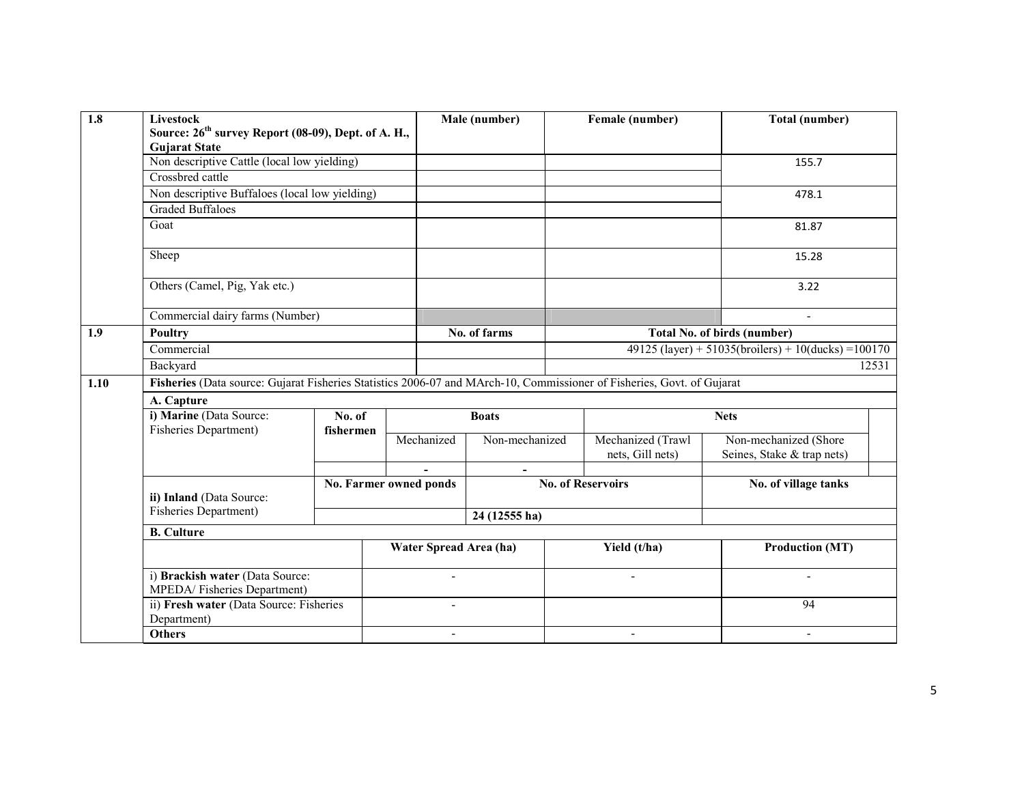| 1.8  | <b>Livestock</b>                                                                                                       | Source: 26 <sup>th</sup> survey Report (08-09), Dept. of A. H.,<br><b>Gujarat State</b> |                        |                          |                                    | Female (number)                            | Total (number)                                         |  |  |
|------|------------------------------------------------------------------------------------------------------------------------|-----------------------------------------------------------------------------------------|------------------------|--------------------------|------------------------------------|--------------------------------------------|--------------------------------------------------------|--|--|
|      | Non descriptive Cattle (local low yielding)                                                                            |                                                                                         |                        |                          |                                    |                                            | 155.7                                                  |  |  |
|      | Crossbred cattle                                                                                                       |                                                                                         |                        |                          |                                    |                                            |                                                        |  |  |
|      | Non descriptive Buffaloes (local low yielding)                                                                         |                                                                                         |                        |                          |                                    |                                            | 478.1                                                  |  |  |
|      | <b>Graded Buffaloes</b>                                                                                                |                                                                                         |                        |                          |                                    |                                            |                                                        |  |  |
|      | Goat                                                                                                                   |                                                                                         |                        |                          |                                    |                                            | 81.87                                                  |  |  |
|      | Sheep                                                                                                                  |                                                                                         |                        |                          |                                    |                                            | 15.28                                                  |  |  |
|      | Others (Camel, Pig, Yak etc.)                                                                                          |                                                                                         |                        |                          |                                    | 3.22                                       |                                                        |  |  |
|      | Commercial dairy farms (Number)                                                                                        |                                                                                         |                        |                          |                                    | $\overline{a}$                             |                                                        |  |  |
| 1.9  | <b>Poultry</b>                                                                                                         |                                                                                         | No. of farms           |                          | <b>Total No. of birds (number)</b> |                                            |                                                        |  |  |
|      | Commercial                                                                                                             |                                                                                         |                        |                          |                                    |                                            | $49125$ (layer) + 51035(broilers) + 10(ducks) = 100170 |  |  |
|      | Backyard                                                                                                               |                                                                                         |                        |                          |                                    | 12531                                      |                                                        |  |  |
| 1.10 | Fisheries (Data source: Gujarat Fisheries Statistics 2006-07 and MArch-10, Commissioner of Fisheries, Govt. of Gujarat |                                                                                         |                        |                          |                                    |                                            |                                                        |  |  |
|      | A. Capture                                                                                                             |                                                                                         |                        |                          |                                    |                                            |                                                        |  |  |
|      | i) Marine (Data Source:                                                                                                | No. of                                                                                  |                        | <b>Boats</b>             |                                    |                                            | <b>Nets</b>                                            |  |  |
|      | <b>Fisheries Department)</b>                                                                                           | fishermen                                                                               | Mechanized             | Non-mechanized           |                                    | Mechanized (Trawl<br>Non-mechanized (Shore |                                                        |  |  |
|      |                                                                                                                        |                                                                                         |                        |                          |                                    | nets, Gill nets)                           | Seines, Stake & trap nets)                             |  |  |
|      |                                                                                                                        |                                                                                         |                        |                          |                                    |                                            |                                                        |  |  |
|      | ii) Inland (Data Source:                                                                                               |                                                                                         | No. Farmer owned ponds |                          |                                    | <b>No. of Reservoirs</b>                   | No. of village tanks                                   |  |  |
|      | Fisheries Department)                                                                                                  |                                                                                         |                        | 24 (12555 ha)            |                                    |                                            |                                                        |  |  |
|      | <b>B.</b> Culture                                                                                                      |                                                                                         |                        |                          |                                    |                                            |                                                        |  |  |
|      |                                                                                                                        | Water Spread Area (ha)                                                                  |                        |                          |                                    | Yield (t/ha)                               | <b>Production (MT)</b>                                 |  |  |
|      | i) Brackish water (Data Source:<br>MPEDA/Fisheries Department)                                                         |                                                                                         | $\overline{a}$         |                          |                                    | $\sim$                                     |                                                        |  |  |
|      | Department)                                                                                                            | ii) Fresh water (Data Source: Fisheries                                                 |                        | $\overline{\phantom{a}}$ |                                    |                                            | $\overline{94}$                                        |  |  |
|      | <b>Others</b>                                                                                                          |                                                                                         | $\sim$                 |                          |                                    | $\overline{\phantom{a}}$                   | $\blacksquare$                                         |  |  |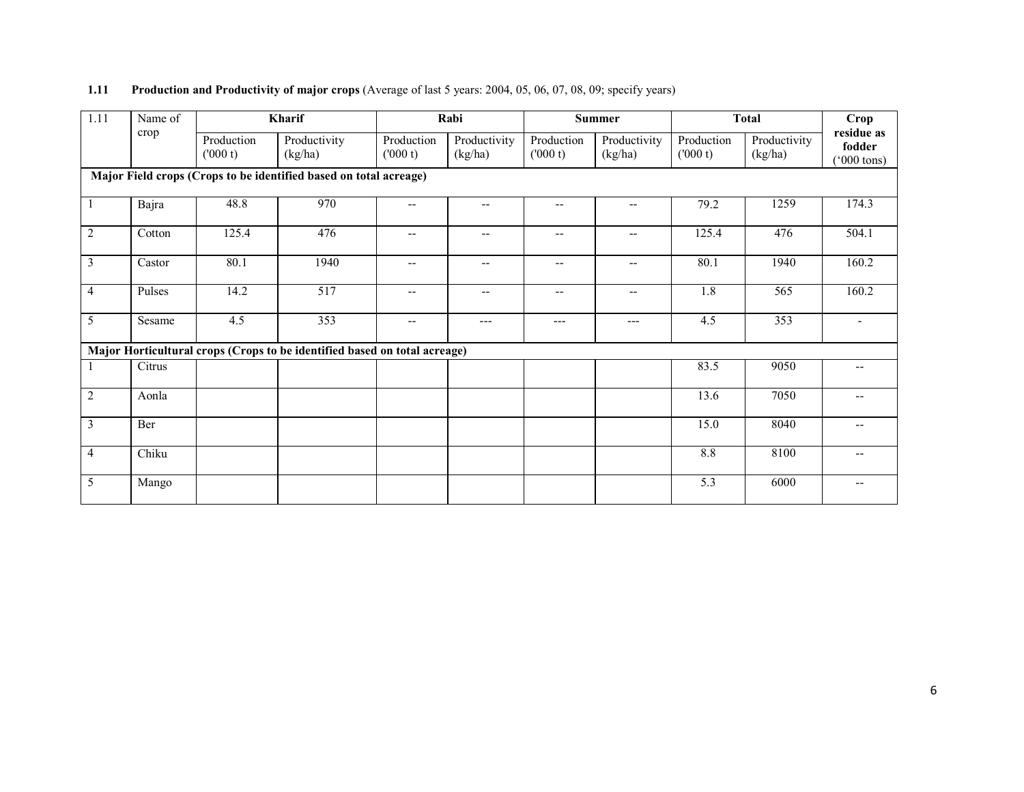| 1.11           | Name of | Kharif                |                                                                           |                          | Rabi                                                |                          | Summer                   |                       | <b>Total</b>            | Crop                                         |
|----------------|---------|-----------------------|---------------------------------------------------------------------------|--------------------------|-----------------------------------------------------|--------------------------|--------------------------|-----------------------|-------------------------|----------------------------------------------|
|                | crop    | Production<br>(000 t) | Productivity<br>(kg/ha)                                                   | Production<br>(000 t)    | Productivity<br>(kg/ha)                             | Production<br>(000 t)    | Productivity<br>(kg/ha)  | Production<br>(000 t) | Productivity<br>(kg/ha) | residue as<br>fodder<br>$(000 \text{ tons})$ |
|                |         |                       | Major Field crops (Crops to be identified based on total acreage)         |                          |                                                     |                          |                          |                       |                         |                                              |
|                | Bajra   | 48.8                  | 970                                                                       | $\overline{\phantom{a}}$ | $-$                                                 | $\overline{\phantom{a}}$ | $\overline{\phantom{a}}$ | 79.2                  | 1259                    | 174.3                                        |
| $\overline{2}$ | Cotton  | 125.4                 | 476                                                                       | $\overline{\phantom{a}}$ | $\hspace{0.05cm} -\hspace{0.05cm} -\hspace{0.05cm}$ | $\overline{\phantom{a}}$ | $\overline{\phantom{a}}$ | 125.4                 | 476                     | 504.1                                        |
| $\overline{3}$ | Castor  | 80.1                  | 1940                                                                      | $\overline{\phantom{m}}$ | $\hspace{0.05cm} -\hspace{0.05cm} -\hspace{0.05cm}$ | $\overline{\phantom{a}}$ | $\overline{\phantom{a}}$ | 80.1                  | 1940                    | 160.2                                        |
| $\overline{4}$ | Pulses  | 14.2                  | 517                                                                       | $\overline{\phantom{a}}$ | $\overline{\phantom{a}}$                            | $\overline{\phantom{a}}$ | $\overline{\phantom{a}}$ | 1.8                   | 565                     | 160.2                                        |
| 5              | Sesame  | 4.5                   | 353                                                                       | $\overline{\phantom{a}}$ | $---$                                               | ---                      | $---$                    | 4.5                   | 353                     | $\overline{\phantom{a}}$                     |
|                |         |                       | Major Horticultural crops (Crops to be identified based on total acreage) |                          |                                                     |                          |                          |                       |                         |                                              |
|                | Citrus  |                       |                                                                           |                          |                                                     |                          |                          | 83.5                  | 9050                    | $\overline{\phantom{a}}$                     |
| $\overline{2}$ | Aonla   |                       |                                                                           |                          |                                                     |                          |                          | 13.6                  | 7050                    | $\overline{\phantom{a}}$                     |
| 3              | Ber     |                       |                                                                           |                          |                                                     |                          |                          | 15.0                  | 8040                    | $\overline{\phantom{a}}$                     |
| $\overline{4}$ | Chiku   |                       |                                                                           |                          |                                                     |                          |                          | 8.8                   | 8100                    | $\overline{\phantom{a}}$                     |
| $\overline{5}$ | Mango   |                       |                                                                           |                          |                                                     |                          |                          | $\overline{5.3}$      | 6000                    | $- -$                                        |

# 1.11 Production and Productivity of major crops (Average of last 5 years: 2004, 05, 06, 07, 08, 09; specify years)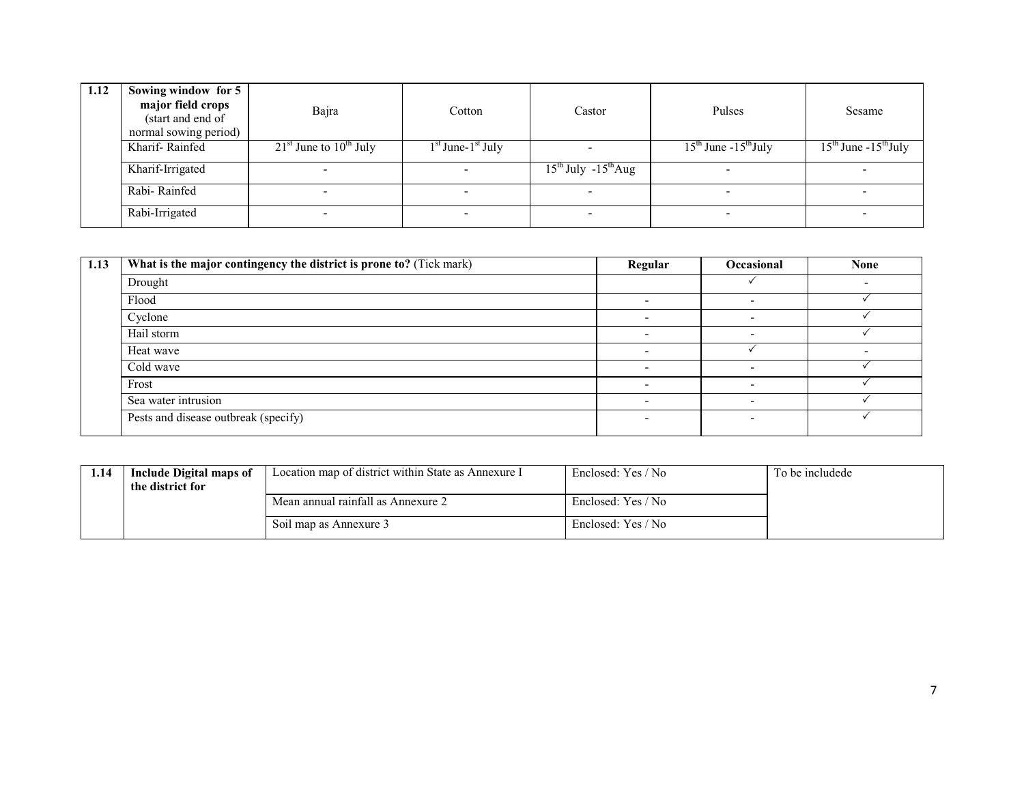| 1.12 | Sowing window for 5<br>major field crops<br>(start and end of<br>normal sowing period) | Bajra                      | Cotton                 | Castor                        | Pulses                   | Sesame                          |
|------|----------------------------------------------------------------------------------------|----------------------------|------------------------|-------------------------------|--------------------------|---------------------------------|
|      | Kharif-Rainfed                                                                         | $21st$ June to $10th$ July | $1st$ June- $1st$ July |                               | $15th$ June $-15th$ July | $15^{th}$ June - $15^{th}$ July |
|      | Kharif-Irrigated                                                                       |                            |                        | $15^{th}$ July $-15^{th}$ Aug |                          |                                 |
|      | Rabi-Rainfed                                                                           |                            |                        |                               |                          |                                 |
|      | Rabi-Irrigated                                                                         |                            |                        |                               |                          |                                 |

| 1.13 | What is the major contingency the district is prone to? (Tick mark) | Regular                  | Occasional | <b>None</b> |
|------|---------------------------------------------------------------------|--------------------------|------------|-------------|
|      | Drought                                                             |                          |            |             |
|      | Flood                                                               |                          |            |             |
|      | Cyclone                                                             | $\overline{\phantom{0}}$ |            |             |
|      | Hail storm                                                          |                          |            |             |
|      | Heat wave                                                           |                          |            |             |
|      | Cold wave                                                           |                          |            |             |
|      | Frost                                                               |                          |            |             |
|      | Sea water intrusion                                                 |                          |            |             |
|      | Pests and disease outbreak (specify)                                |                          |            |             |

| 1.14 | Include Digital maps of<br>the district for | Location map of district within State as Annexure I | Enclosed: Yes / No | To be includede |
|------|---------------------------------------------|-----------------------------------------------------|--------------------|-----------------|
|      |                                             | Mean annual rainfall as Annexure 2                  | Enclosed: Yes / No |                 |
|      |                                             | Soil map as Annexure 3                              | Enclosed: Yes / No |                 |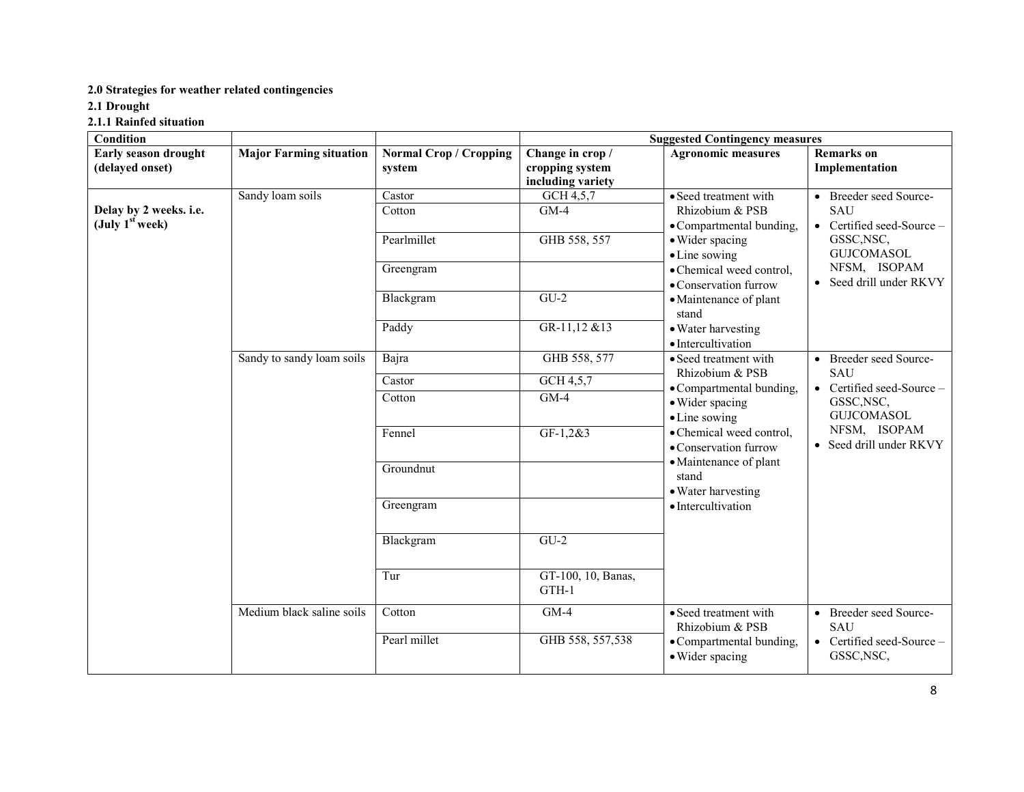### 2.0 Strategies for weather related contingencies

2.1 Drought

2.1.1 Rainfed situation

| <b>Condition</b>                                           |                                | <b>Suggested Contingency measures</b>   |                                                          |                                                                                                                                                                                                                                                                                                                                                                                                |                                                                                                                                            |  |  |
|------------------------------------------------------------|--------------------------------|-----------------------------------------|----------------------------------------------------------|------------------------------------------------------------------------------------------------------------------------------------------------------------------------------------------------------------------------------------------------------------------------------------------------------------------------------------------------------------------------------------------------|--------------------------------------------------------------------------------------------------------------------------------------------|--|--|
| Early season drought<br>(delayed onset)                    | <b>Major Farming situation</b> | <b>Normal Crop / Cropping</b><br>system | Change in crop /<br>cropping system<br>including variety | <b>Agronomic measures</b>                                                                                                                                                                                                                                                                                                                                                                      | <b>Remarks</b> on<br>Implementation                                                                                                        |  |  |
|                                                            | Sandy loam soils               | Castor                                  | GCH 4,5,7                                                | • Seed treatment with                                                                                                                                                                                                                                                                                                                                                                          | • Breeder seed Source-                                                                                                                     |  |  |
| Delay by 2 weeks. i.e.<br>$(\mathrm{July\ 1^{st} week)} )$ |                                | Cotton                                  | $GM-4$                                                   | Rhizobium & PSB<br>• Compartmental bunding,                                                                                                                                                                                                                                                                                                                                                    | <b>SAU</b><br>• Certified seed-Source -<br>GSSC, NSC,<br><b>GUJCOMASOL</b><br>NFSM, ISOPAM<br>• Seed drill under RKVY                      |  |  |
|                                                            |                                | Pearlmillet                             | GHB 558, 557                                             | • Wider spacing<br>• Line sowing<br>• Chemical weed control,<br>• Conservation furrow<br>• Maintenance of plant<br>stand<br>• Water harvesting<br>· Intercultivation<br>• Seed treatment with<br>Rhizobium & PSB<br>• Compartmental bunding,<br>• Wider spacing<br>• Line sowing<br>• Chemical weed control,<br>• Conservation furrow<br>· Maintenance of plant<br>stand<br>• Water harvesting |                                                                                                                                            |  |  |
|                                                            |                                | Greengram                               |                                                          |                                                                                                                                                                                                                                                                                                                                                                                                |                                                                                                                                            |  |  |
|                                                            |                                | Blackgram                               | $GU-2$                                                   |                                                                                                                                                                                                                                                                                                                                                                                                |                                                                                                                                            |  |  |
|                                                            |                                | Paddy                                   | GR-11,12 &13                                             |                                                                                                                                                                                                                                                                                                                                                                                                |                                                                                                                                            |  |  |
|                                                            | Sandy to sandy loam soils      | Bajra                                   | GHB 558, 577                                             |                                                                                                                                                                                                                                                                                                                                                                                                | • Breeder seed Source-<br>SAU<br>• Certified seed-Source $-$<br>GSSC, NSC,<br><b>GUJCOMASOL</b><br>NFSM, ISOPAM<br>• Seed drill under RKVY |  |  |
|                                                            |                                | Castor                                  | GCH 4,5,7                                                |                                                                                                                                                                                                                                                                                                                                                                                                |                                                                                                                                            |  |  |
|                                                            |                                | Cotton                                  | $GM-4$                                                   |                                                                                                                                                                                                                                                                                                                                                                                                |                                                                                                                                            |  |  |
|                                                            |                                | Fennel                                  | $GF-1, 2&3$                                              |                                                                                                                                                                                                                                                                                                                                                                                                |                                                                                                                                            |  |  |
|                                                            |                                | Groundnut                               |                                                          |                                                                                                                                                                                                                                                                                                                                                                                                |                                                                                                                                            |  |  |
|                                                            |                                | Greengram                               |                                                          | · Intercultivation                                                                                                                                                                                                                                                                                                                                                                             |                                                                                                                                            |  |  |
|                                                            |                                | Blackgram                               | $GU-2$                                                   |                                                                                                                                                                                                                                                                                                                                                                                                |                                                                                                                                            |  |  |
|                                                            |                                | Tur                                     | GT-100, 10, Banas,<br>GTH-1                              |                                                                                                                                                                                                                                                                                                                                                                                                |                                                                                                                                            |  |  |
|                                                            | Medium black saline soils      | Cotton                                  | $GM-4$                                                   | • Seed treatment with<br>Rhizobium & PSB                                                                                                                                                                                                                                                                                                                                                       | • Breeder seed Source-<br><b>SAU</b>                                                                                                       |  |  |
|                                                            |                                | Pearl millet                            | GHB 558, 557,538                                         | • Compartmental bunding,<br>· Wider spacing                                                                                                                                                                                                                                                                                                                                                    | • Certified seed-Source $-$<br>GSSC, NSC,                                                                                                  |  |  |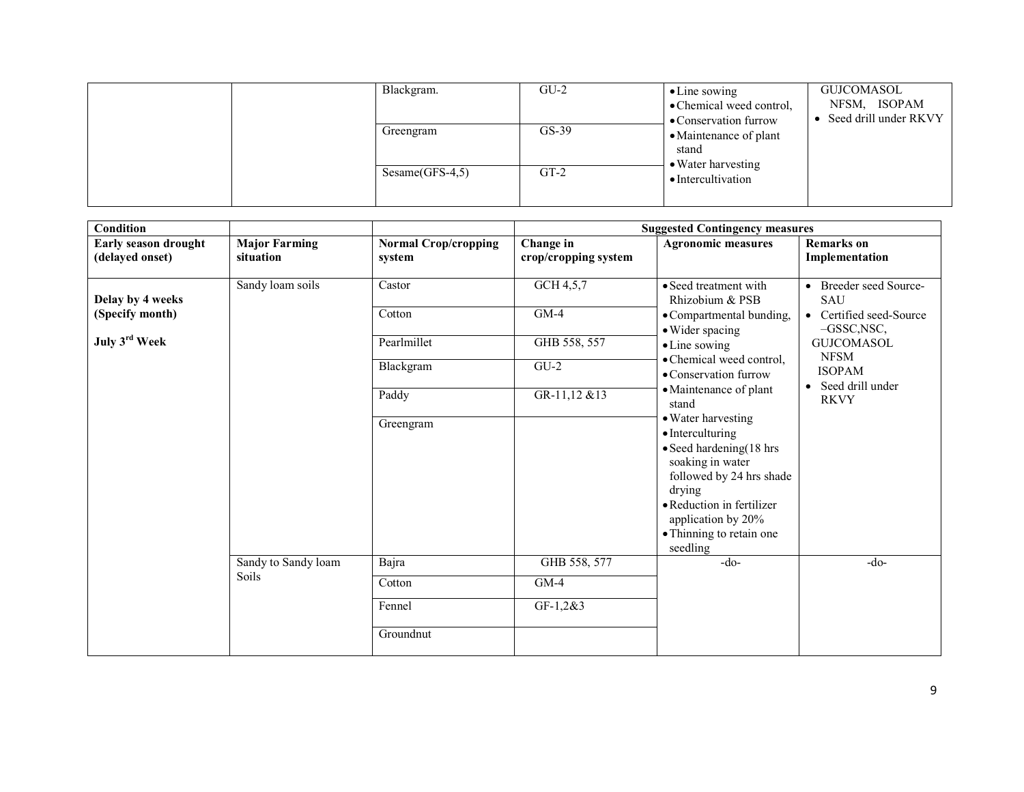|  |                   | Blackgram. | $GU-2$                                   | $\bullet$ Line sowing<br>• Chemical weed control,<br>• Conservation furrow | GUJCOMASOL<br>NFSM, ISOPAM<br>Seed drill under RKVY<br>$\bullet$ |
|--|-------------------|------------|------------------------------------------|----------------------------------------------------------------------------|------------------------------------------------------------------|
|  |                   | Greengram  | $GS-39$                                  | • Maintenance of plant<br>stand                                            |                                                                  |
|  | $Sesame(GFS-4,5)$ | $GT-2$     | • Water harvesting<br>• Intercultivation |                                                                            |                                                                  |

| <b>Condition</b>          |                                     |                             | <b>Suggested Contingency measures</b> |                                                                                                                                                                                                                                |                                          |  |
|---------------------------|-------------------------------------|-----------------------------|---------------------------------------|--------------------------------------------------------------------------------------------------------------------------------------------------------------------------------------------------------------------------------|------------------------------------------|--|
| Early season drought      | <b>Major Farming</b>                | <b>Normal Crop/cropping</b> | Change in                             | <b>Agronomic measures</b>                                                                                                                                                                                                      | <b>Remarks</b> on                        |  |
| (delayed onset)           | situation                           | system                      | crop/cropping system                  |                                                                                                                                                                                                                                | Implementation                           |  |
| Delay by 4 weeks          | Sandy loam soils                    | Castor                      | GCH 4,5,7                             | • Seed treatment with<br>Rhizobium & PSB                                                                                                                                                                                       | • Breeder seed Source-<br>SAU            |  |
| (Specify month)           |                                     | Cotton                      | $GM-4$                                | • Compartmental bunding,<br>• Wider spacing                                                                                                                                                                                    | • Certified seed-Source<br>$-GSSC, NSC,$ |  |
| July 3 <sup>rd</sup> Week |                                     | Pearlmillet                 | GHB 558, 557                          | • Line sowing<br>• Chemical weed control,                                                                                                                                                                                      | <b>GUJCOMASOL</b><br><b>NFSM</b>         |  |
|                           |                                     | Blackgram                   | $GU-2$                                | • Conservation furrow                                                                                                                                                                                                          | <b>ISOPAM</b><br>• Seed drill under      |  |
|                           |                                     | Paddy                       | GR-11,12 &13                          | • Maintenance of plant<br>stand                                                                                                                                                                                                | <b>RKVY</b>                              |  |
|                           |                                     | Greengram                   |                                       | • Water harvesting<br>• Interculturing<br>$\bullet$ Seed hardening(18 hrs<br>soaking in water<br>followed by 24 hrs shade<br>drying<br>• Reduction in fertilizer<br>application by 20%<br>• Thinning to retain one<br>seedling |                                          |  |
|                           | Sandy to Sandy loam<br><b>Soils</b> | Bajra                       | GHB 558, 577                          | $-do-$                                                                                                                                                                                                                         | $-do-$                                   |  |
|                           |                                     | Cotton                      | $GM-4$                                |                                                                                                                                                                                                                                |                                          |  |
|                           |                                     | Fennel                      | $GF-1, 2&3$                           |                                                                                                                                                                                                                                |                                          |  |
|                           |                                     | Groundnut                   |                                       |                                                                                                                                                                                                                                |                                          |  |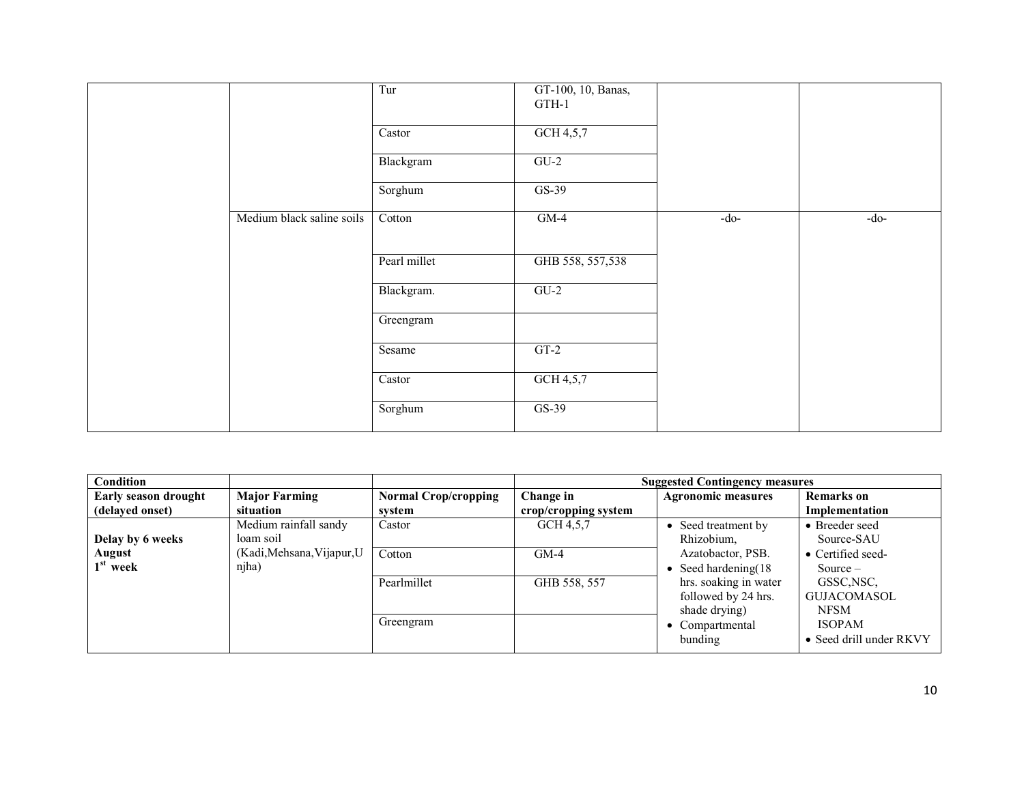|                           | Tur          | GT-100, 10, Banas,<br>GTH-1 |        |        |
|---------------------------|--------------|-----------------------------|--------|--------|
|                           | Castor       | GCH $4,5,7$                 |        |        |
|                           | Blackgram    | $GU-2$                      |        |        |
|                           | Sorghum      | $GS-39$                     |        |        |
| Medium black saline soils | Cotton       | $GM-4$                      | $-do-$ | $-do-$ |
|                           |              |                             |        |        |
|                           | Pearl millet | GHB 558, 557,538            |        |        |
|                           | Blackgram.   | $GU-2$                      |        |        |
|                           | Greengram    |                             |        |        |
|                           | Sesame       | $GT-2$                      |        |        |
|                           | Castor       | GCH 4,5,7                   |        |        |
|                           | Sorghum      | $GS-39$                     |        |        |

| Condition            |                            |                             |                      | <b>Suggested Contingency measures</b> |                           |  |
|----------------------|----------------------------|-----------------------------|----------------------|---------------------------------------|---------------------------|--|
| Early season drought | <b>Major Farming</b>       | <b>Normal Crop/cropping</b> | Change in            | <b>Agronomic measures</b>             | <b>Remarks</b> on         |  |
| (delayed onset)      | situation                  | svstem                      | crop/cropping system |                                       | Implementation            |  |
|                      | Medium rainfall sandy      | Castor                      | GCH 4.5.7            | • Seed treatment by                   | • Breeder seed            |  |
| Delay by 6 weeks     | loam soil                  |                             |                      | Rhizobium,                            | Source-SAU                |  |
| August               | (Kadi, Mehsana, Vijapur, U | Cotton                      | $GM-4$               | Azatobactor, PSB.                     | $\bullet$ Certified seed- |  |
| $1st$ week           | njha)                      |                             |                      | • Seed hardening $(18$                | Source $-$                |  |
|                      |                            | Pearlmillet                 | GHB 558, 557         | hrs. soaking in water                 | GSSC, NSC,                |  |
|                      |                            |                             |                      | followed by 24 hrs.                   | <b>GUJACOMASOL</b>        |  |
|                      |                            |                             |                      | shade drying)                         | <b>NFSM</b>               |  |
|                      |                            | Greengram                   |                      | • Compartmental                       | <b>ISOPAM</b>             |  |
|                      |                            |                             |                      | bunding                               | • Seed drill under RKVY   |  |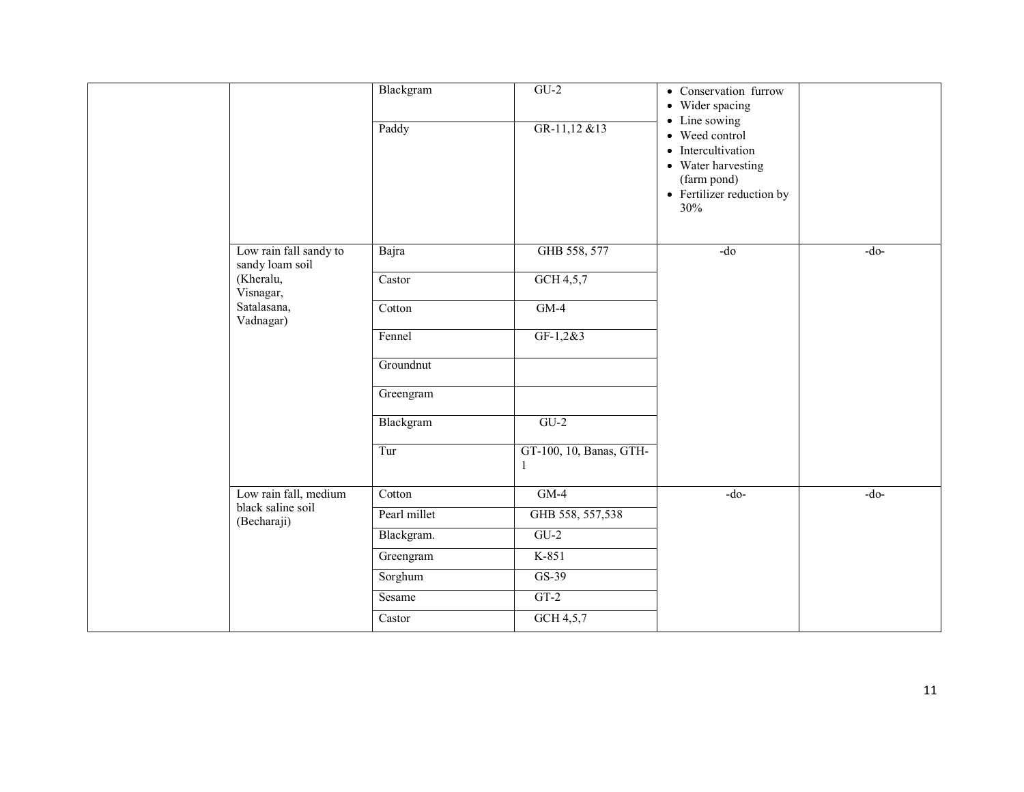|  |                                                        | Blackgram<br>Paddy | $GU-2$<br>GR-11,12 &13                  | • Conservation furrow<br>• Wider spacing<br>• Line sowing<br>• Weed control<br>• Intercultivation<br>• Water harvesting<br>(farm pond)<br>• Fertilizer reduction by<br>30% |        |
|--|--------------------------------------------------------|--------------------|-----------------------------------------|----------------------------------------------------------------------------------------------------------------------------------------------------------------------------|--------|
|  | Low rain fall sandy to<br>sandy loam soil<br>(Kheralu, | Bajra<br>Castor    | GHB 558, 577<br>GCH 4,5,7               | $-do$                                                                                                                                                                      | $-do-$ |
|  | Visnagar,<br>Satalasana,<br>Vadnagar)                  | Cotton             | $GM-4$                                  |                                                                                                                                                                            |        |
|  |                                                        | Fennel             | $GF-1, 2&3$                             |                                                                                                                                                                            |        |
|  |                                                        | Groundnut          |                                         |                                                                                                                                                                            |        |
|  |                                                        | Greengram          |                                         |                                                                                                                                                                            |        |
|  |                                                        | Blackgram          | $GU-2$                                  |                                                                                                                                                                            |        |
|  |                                                        | Tur                | GT-100, 10, Banas, GTH-<br>$\mathbf{1}$ |                                                                                                                                                                            |        |
|  | Low rain fall, medium                                  | Cotton             | $GM-4$                                  | $-do-$                                                                                                                                                                     | $-do-$ |
|  | black saline soil<br>(Becharaji)                       | Pearl millet       | GHB 558, 557,538                        |                                                                                                                                                                            |        |
|  |                                                        | Blackgram.         | $GU-2$                                  |                                                                                                                                                                            |        |
|  |                                                        | Greengram          | K-851                                   |                                                                                                                                                                            |        |
|  |                                                        | Sorghum            | $GS-39$                                 |                                                                                                                                                                            |        |
|  |                                                        | Sesame             | $GT-2$                                  |                                                                                                                                                                            |        |
|  |                                                        | Castor             | GCH 4,5,7                               |                                                                                                                                                                            |        |
|  |                                                        |                    |                                         |                                                                                                                                                                            |        |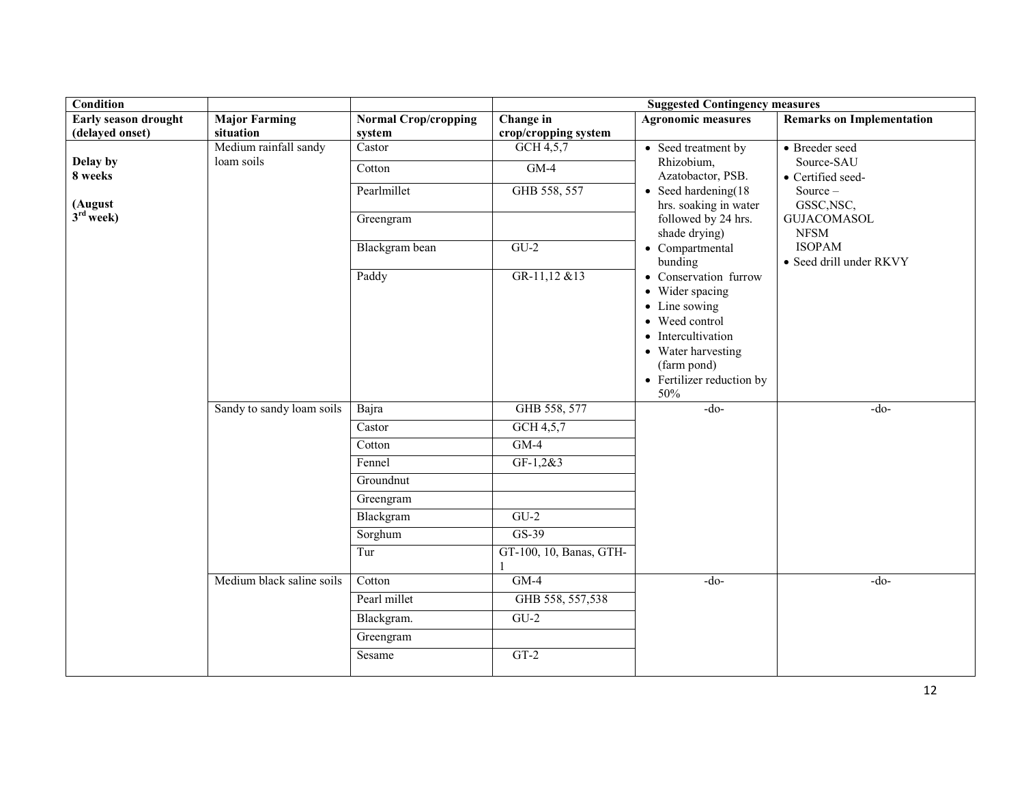| <b>Condition</b>       |                                     |                             |                         | <b>Suggested Contingency measures</b>                                                                                                                                      |                                                 |  |  |  |
|------------------------|-------------------------------------|-----------------------------|-------------------------|----------------------------------------------------------------------------------------------------------------------------------------------------------------------------|-------------------------------------------------|--|--|--|
| Early season drought   | <b>Major Farming</b>                | <b>Normal Crop/cropping</b> | Change in               | <b>Agronomic measures</b>                                                                                                                                                  | <b>Remarks on Implementation</b>                |  |  |  |
| (delayed onset)        | situation                           | system                      | crop/cropping system    |                                                                                                                                                                            |                                                 |  |  |  |
| Delay by               | Medium rainfall sandy<br>loam soils | Castor<br>Cotton            | GCH $4,5,7$<br>$GM-4$   | • Seed treatment by<br>Rhizobium,                                                                                                                                          | • Breeder seed<br>Source-SAU                    |  |  |  |
| 8 weeks                |                                     | Pearlmillet                 | GHB 558, 557            | Azatobactor, PSB.<br>$\bullet$ Seed hardening(18                                                                                                                           | • Certified seed-<br>Source-                    |  |  |  |
| (August<br>$3rd$ week) |                                     | Greengram                   |                         | hrs. soaking in water<br>followed by 24 hrs.<br>shade drying)                                                                                                              | GSSC, NSC,<br><b>GUJACOMASOL</b><br><b>NFSM</b> |  |  |  |
|                        |                                     | Blackgram bean              | $GU-2$                  | • Compartmental<br>bunding                                                                                                                                                 | <b>ISOPAM</b><br>• Seed drill under RKVY        |  |  |  |
|                        |                                     | Paddy                       | GR-11,12 &13            | • Conservation furrow<br>• Wider spacing<br>• Line sowing<br>• Weed control<br>• Intercultivation<br>• Water harvesting<br>(farm pond)<br>• Fertilizer reduction by<br>50% |                                                 |  |  |  |
|                        | Sandy to sandy loam soils           | Bajra                       | GHB 558, 577            | $-do-$                                                                                                                                                                     | $-do-$                                          |  |  |  |
|                        |                                     | Castor                      | GCH 4,5,7               |                                                                                                                                                                            |                                                 |  |  |  |
|                        |                                     | Cotton                      | $GM-4$                  |                                                                                                                                                                            |                                                 |  |  |  |
|                        |                                     | Fennel                      | $GF-1, 2&3$             |                                                                                                                                                                            |                                                 |  |  |  |
|                        |                                     | Groundnut                   |                         |                                                                                                                                                                            |                                                 |  |  |  |
|                        |                                     | Greengram                   |                         |                                                                                                                                                                            |                                                 |  |  |  |
|                        |                                     | Blackgram                   | $GU-2$                  |                                                                                                                                                                            |                                                 |  |  |  |
|                        |                                     | Sorghum                     | $GS-39$                 |                                                                                                                                                                            |                                                 |  |  |  |
|                        |                                     | Tur                         | GT-100, 10, Banas, GTH- |                                                                                                                                                                            |                                                 |  |  |  |
|                        | Medium black saline soils           | Cotton                      | $GM-4$                  | $-do-$                                                                                                                                                                     | $-do-$                                          |  |  |  |
|                        |                                     | Pearl millet                | GHB 558, 557,538        |                                                                                                                                                                            |                                                 |  |  |  |
|                        |                                     | Blackgram.                  | $GU-2$                  |                                                                                                                                                                            |                                                 |  |  |  |
|                        |                                     | Greengram                   |                         |                                                                                                                                                                            |                                                 |  |  |  |
|                        |                                     | Sesame                      | $GT-2$                  |                                                                                                                                                                            |                                                 |  |  |  |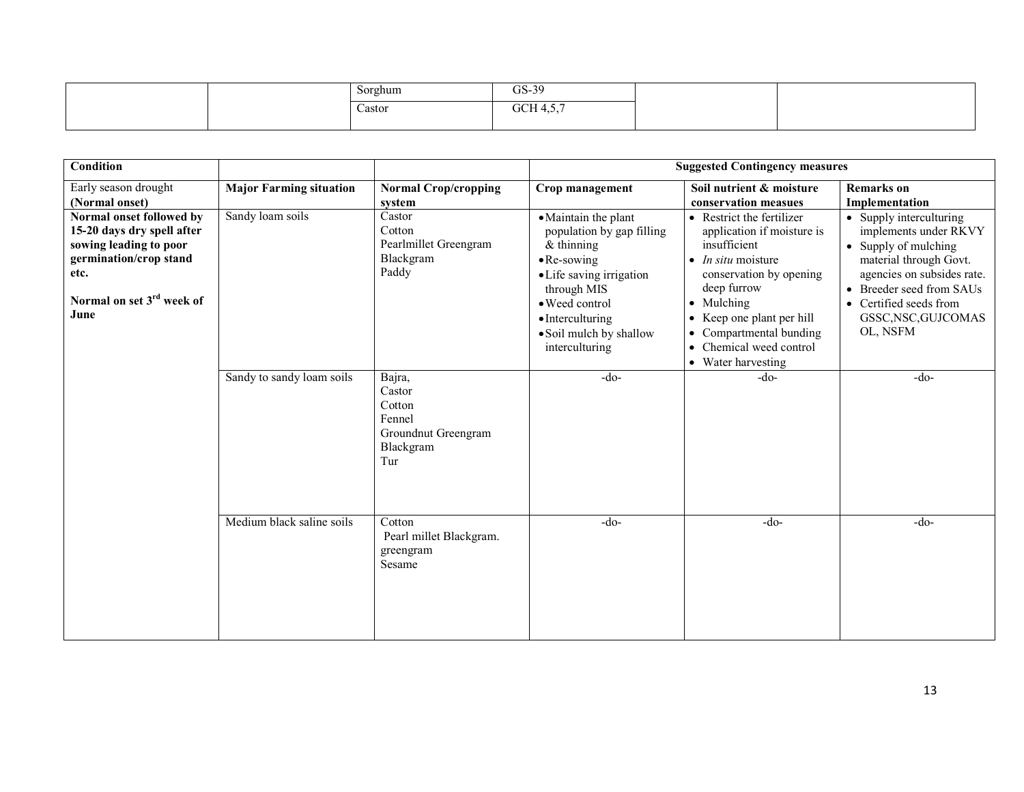|  | Sorghum<br>$\sim$ | $\cap$ $\cap$<br>US-35   |  |
|--|-------------------|--------------------------|--|
|  | Castor            | $CCTI + F$<br>UUH<br>. ب |  |
|  |                   |                          |  |

| <b>Condition</b>                                                                                                                                                    |                                |                                                                                 |                                                                                                                                                                                                                                | <b>Suggested Contingency measures</b>                                                                                                                                                                                                                                                  |                                                                                                                                                                                                                           |
|---------------------------------------------------------------------------------------------------------------------------------------------------------------------|--------------------------------|---------------------------------------------------------------------------------|--------------------------------------------------------------------------------------------------------------------------------------------------------------------------------------------------------------------------------|----------------------------------------------------------------------------------------------------------------------------------------------------------------------------------------------------------------------------------------------------------------------------------------|---------------------------------------------------------------------------------------------------------------------------------------------------------------------------------------------------------------------------|
| Early season drought<br>(Normal onset)                                                                                                                              | <b>Major Farming situation</b> | <b>Normal Crop/cropping</b><br>system                                           | Crop management                                                                                                                                                                                                                | Soil nutrient & moisture<br>conservation measues                                                                                                                                                                                                                                       | <b>Remarks</b> on<br>Implementation                                                                                                                                                                                       |
| Normal onset followed by<br>15-20 days dry spell after<br>sowing leading to poor<br>germination/crop stand<br>etc.<br>Normal on set 3 <sup>rd</sup> week of<br>June | Sandy loam soils               | Castor<br>Cotton<br>Pearlmillet Greengram<br>Blackgram<br>Paddy                 | • Maintain the plant<br>population by gap filling<br>$&$ thinning<br>$\bullet$ Re-sowing<br>· Life saving irrigation<br>through MIS<br>· Weed control<br>$\bullet$ Interculturing<br>· Soil mulch by shallow<br>interculturing | • Restrict the fertilizer<br>application if moisture is<br>insufficient<br>$\bullet$ <i>In situ</i> moisture<br>conservation by opening<br>deep furrow<br>• Mulching<br>• Keep one plant per hill<br>Compartmental bunding<br>Chemical weed control<br>$\bullet$<br>• Water harvesting | • Supply interculturing<br>implements under RKVY<br>• Supply of mulching<br>material through Govt.<br>agencies on subsides rate.<br>• Breeder seed from SAUs<br>• Certified seeds from<br>GSSC, NSC, GUJCOMAS<br>OL, NSFM |
|                                                                                                                                                                     | Sandy to sandy loam soils      | Bajra,<br>Castor<br>Cotton<br>Fennel<br>Groundnut Greengram<br>Blackgram<br>Tur | $-do-$                                                                                                                                                                                                                         | -do-                                                                                                                                                                                                                                                                                   | $-do-$                                                                                                                                                                                                                    |
|                                                                                                                                                                     | Medium black saline soils      | Cotton<br>Pearl millet Blackgram.<br>greengram<br>Sesame                        | $-do-$                                                                                                                                                                                                                         | $-do-$                                                                                                                                                                                                                                                                                 | $-do-$                                                                                                                                                                                                                    |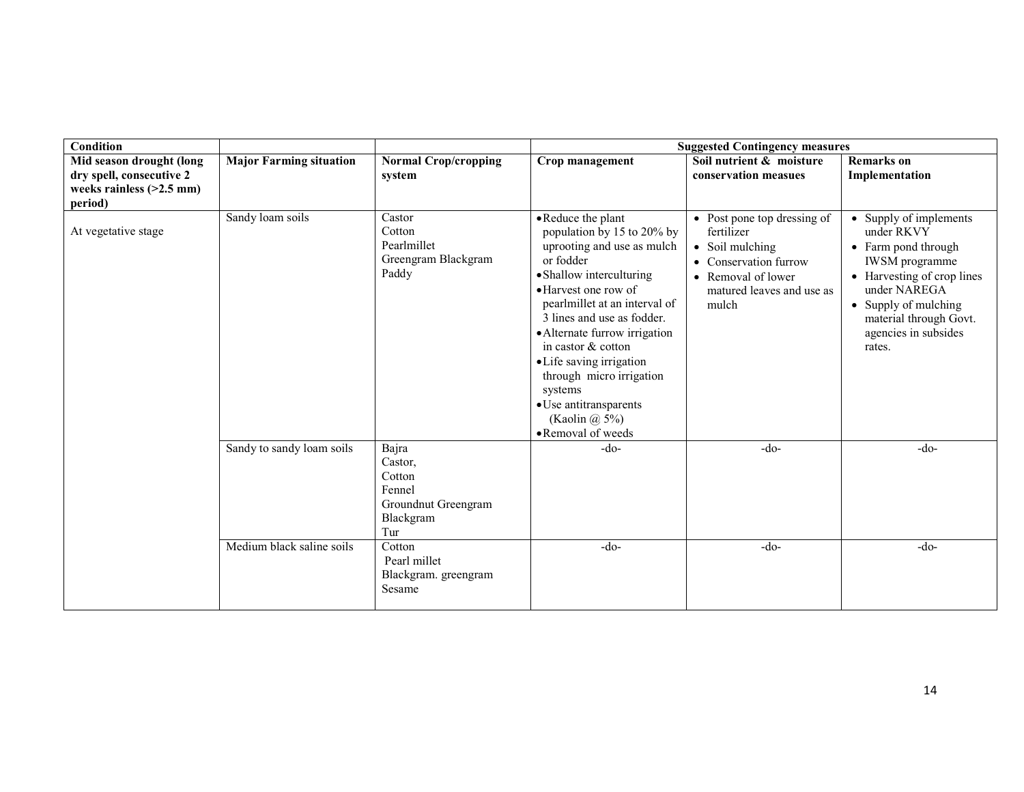| <b>Condition</b>           |                                |                                                                        |                                                                                                                                                                                                                                                                                                                                                                                                               | <b>Suggested Contingency measures</b>                                                                                                             |                                                                                                                                                                                                                 |
|----------------------------|--------------------------------|------------------------------------------------------------------------|---------------------------------------------------------------------------------------------------------------------------------------------------------------------------------------------------------------------------------------------------------------------------------------------------------------------------------------------------------------------------------------------------------------|---------------------------------------------------------------------------------------------------------------------------------------------------|-----------------------------------------------------------------------------------------------------------------------------------------------------------------------------------------------------------------|
| Mid season drought (long   | <b>Major Farming situation</b> | <b>Normal Crop/cropping</b>                                            | Crop management                                                                                                                                                                                                                                                                                                                                                                                               | Soil nutrient & moisture                                                                                                                          | <b>Remarks</b> on                                                                                                                                                                                               |
| dry spell, consecutive 2   |                                | system                                                                 |                                                                                                                                                                                                                                                                                                                                                                                                               | conservation measues                                                                                                                              | Implementation                                                                                                                                                                                                  |
| weeks rainless $(>2.5$ mm) |                                |                                                                        |                                                                                                                                                                                                                                                                                                                                                                                                               |                                                                                                                                                   |                                                                                                                                                                                                                 |
| period)                    |                                |                                                                        |                                                                                                                                                                                                                                                                                                                                                                                                               |                                                                                                                                                   |                                                                                                                                                                                                                 |
| At vegetative stage        | Sandy loam soils               | Castor<br>Cotton<br>Pearlmillet<br>Greengram Blackgram<br>Paddy        | • Reduce the plant<br>population by 15 to 20% by<br>uprooting and use as mulch<br>or fodder<br>• Shallow interculturing<br>• Harvest one row of<br>pearlmillet at an interval of<br>3 lines and use as fodder.<br>• Alternate furrow irrigation<br>in castor & cotton<br>• Life saving irrigation<br>through micro irrigation<br>systems<br>• Use antitransparents<br>(Kaolin $(a)$ 5%)<br>• Removal of weeds | • Post pone top dressing of<br>fertilizer<br>• Soil mulching<br>• Conservation furrow<br>• Removal of lower<br>matured leaves and use as<br>mulch | • Supply of implements<br>under RKVY<br>• Farm pond through<br>IWSM programme<br>• Harvesting of crop lines<br>under NAREGA<br>• Supply of mulching<br>material through Govt.<br>agencies in subsides<br>rates. |
|                            | Sandy to sandy loam soils      | Bajra                                                                  | $-do-$                                                                                                                                                                                                                                                                                                                                                                                                        | $-do-$                                                                                                                                            | $-do-$                                                                                                                                                                                                          |
|                            |                                | Castor,<br>Cotton<br>Fennel<br>Groundnut Greengram<br>Blackgram<br>Tur |                                                                                                                                                                                                                                                                                                                                                                                                               |                                                                                                                                                   |                                                                                                                                                                                                                 |
|                            | Medium black saline soils      | Cotton<br>Pearl millet<br>Blackgram. greengram<br>Sesame               | $-do-$                                                                                                                                                                                                                                                                                                                                                                                                        | $-do-$                                                                                                                                            | $-do-$                                                                                                                                                                                                          |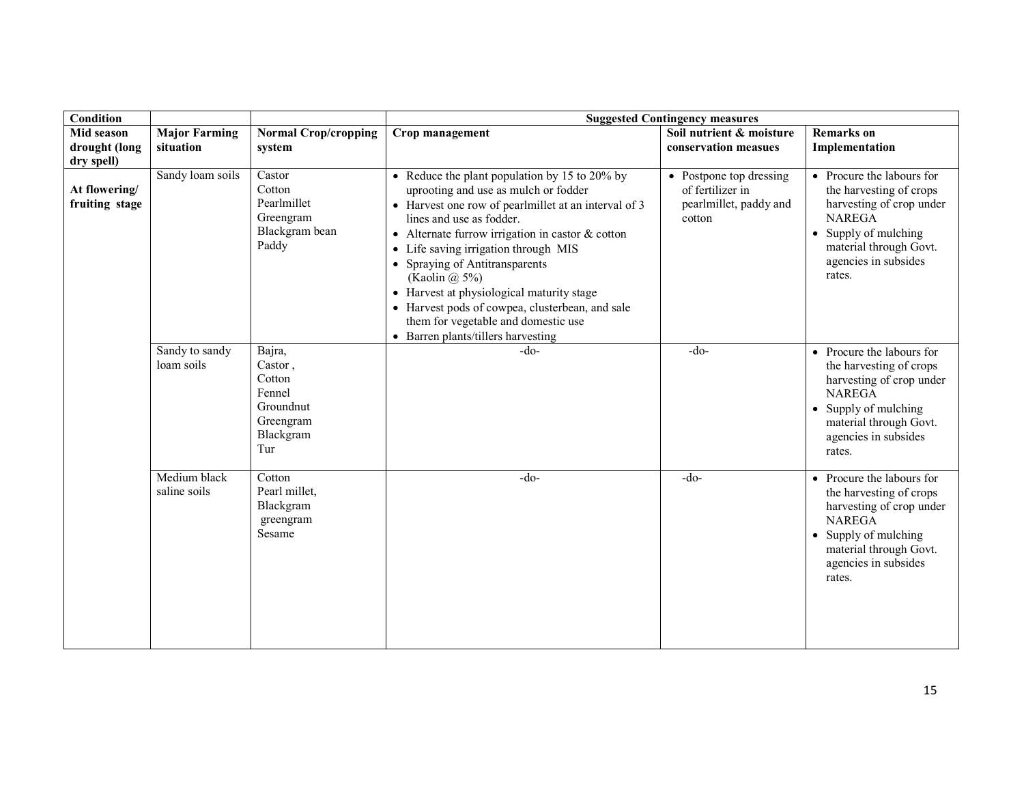| <b>Condition</b>                |                                   |                                                                                     |                                                                                                                                                                                                                                                                                                                                                                                                                                                                                                                        | <b>Suggested Contingency measures</b>                                           |                                                                                                                                                                                               |
|---------------------------------|-----------------------------------|-------------------------------------------------------------------------------------|------------------------------------------------------------------------------------------------------------------------------------------------------------------------------------------------------------------------------------------------------------------------------------------------------------------------------------------------------------------------------------------------------------------------------------------------------------------------------------------------------------------------|---------------------------------------------------------------------------------|-----------------------------------------------------------------------------------------------------------------------------------------------------------------------------------------------|
| Mid season<br>drought (long     | <b>Major Farming</b><br>situation | <b>Normal Crop/cropping</b><br>system                                               | Crop management                                                                                                                                                                                                                                                                                                                                                                                                                                                                                                        | Soil nutrient & moisture<br>conservation measues                                | <b>Remarks</b> on<br>Implementation                                                                                                                                                           |
| dry spell)                      |                                   |                                                                                     |                                                                                                                                                                                                                                                                                                                                                                                                                                                                                                                        |                                                                                 |                                                                                                                                                                                               |
| At flowering/<br>fruiting stage | Sandy loam soils                  | Castor<br>Cotton<br>Pearlmillet<br>Greengram<br>Blackgram bean<br>Paddy             | • Reduce the plant population by 15 to 20% by<br>uprooting and use as mulch or fodder<br>• Harvest one row of pearlmillet at an interval of 3<br>lines and use as fodder.<br>• Alternate furrow irrigation in castor $&$ cotton<br>Life saving irrigation through MIS<br>$\bullet$<br>• Spraying of Antitransparents<br>(Kaolin $(a)$ 5%)<br>• Harvest at physiological maturity stage<br>• Harvest pods of cowpea, clusterbean, and sale<br>them for vegetable and domestic use<br>• Barren plants/tillers harvesting | • Postpone top dressing<br>of fertilizer in<br>pearlmillet, paddy and<br>cotton | • Procure the labours for<br>the harvesting of crops<br>harvesting of crop under<br><b>NAREGA</b><br>• Supply of mulching<br>material through Govt.<br>agencies in subsides<br>rates.         |
|                                 | Sandy to sandy<br>loam soils      | Bajra,<br>Castor,<br>Cotton<br>Fennel<br>Groundnut<br>Greengram<br>Blackgram<br>Tur | $-do-$                                                                                                                                                                                                                                                                                                                                                                                                                                                                                                                 | $-do-$                                                                          | • Procure the labours for<br>the harvesting of crops<br>harvesting of crop under<br><b>NAREGA</b><br>Supply of mulching<br>material through Govt.<br>agencies in subsides<br>rates.           |
|                                 | Medium black<br>saline soils      | Cotton<br>Pearl millet,<br>Blackgram<br>greengram<br>Sesame                         | $-do-$                                                                                                                                                                                                                                                                                                                                                                                                                                                                                                                 | $-do-$                                                                          | • Procure the labours for<br>the harvesting of crops<br>harvesting of crop under<br><b>NAREGA</b><br>$\bullet$ Supply of mulching<br>material through Govt.<br>agencies in subsides<br>rates. |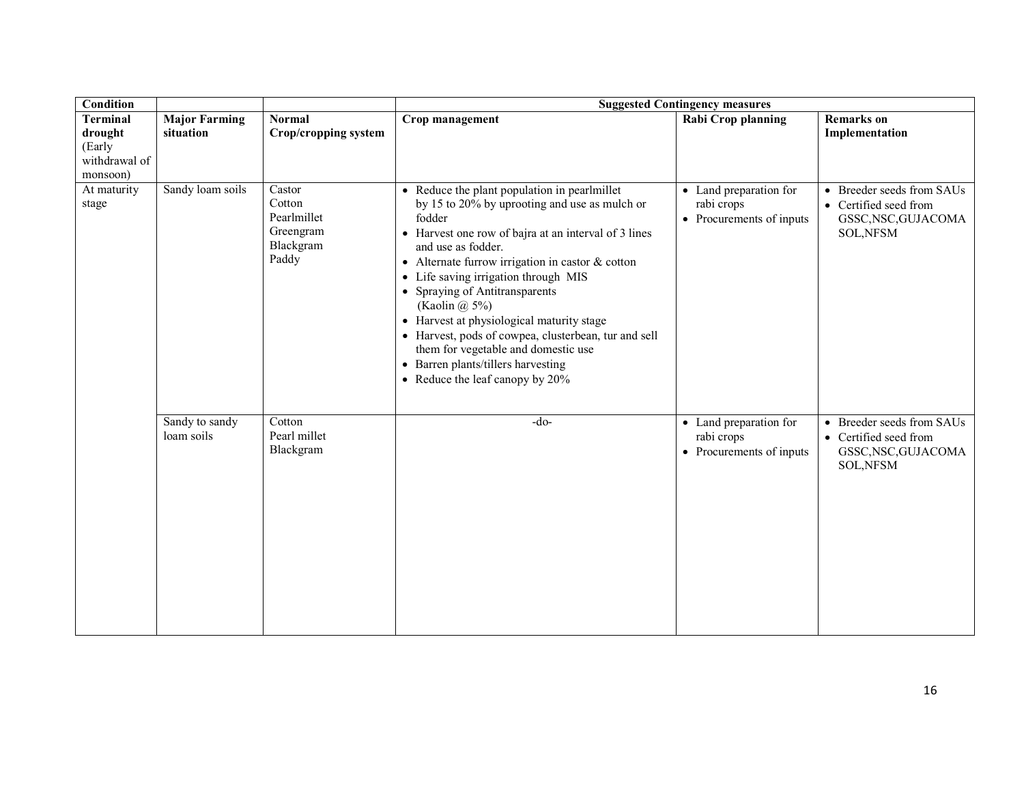| Condition                                                         |                                   |                                                                    |                                                                                                                                                                                                                                                                                                                                                                                                                                                                                                                                                                             | <b>Suggested Contingency measures</b>                            |                                                                                               |
|-------------------------------------------------------------------|-----------------------------------|--------------------------------------------------------------------|-----------------------------------------------------------------------------------------------------------------------------------------------------------------------------------------------------------------------------------------------------------------------------------------------------------------------------------------------------------------------------------------------------------------------------------------------------------------------------------------------------------------------------------------------------------------------------|------------------------------------------------------------------|-----------------------------------------------------------------------------------------------|
| <b>Terminal</b><br>drought<br>(Early<br>withdrawal of<br>monsoon) | <b>Major Farming</b><br>situation | <b>Normal</b><br><b>Crop/cropping system</b>                       | Crop management                                                                                                                                                                                                                                                                                                                                                                                                                                                                                                                                                             | Rabi Crop planning                                               | <b>Remarks</b> on<br>Implementation                                                           |
| At maturity<br>stage                                              | Sandy loam soils                  | Castor<br>Cotton<br>Pearlmillet<br>Greengram<br>Blackgram<br>Paddy | • Reduce the plant population in pearlmillet<br>by 15 to 20% by uprooting and use as mulch or<br>fodder<br>• Harvest one row of bajra at an interval of 3 lines<br>and use as fodder.<br>• Alternate furrow irrigation in castor $&$ cotton<br>• Life saving irrigation through MIS<br>• Spraying of Antitransparents<br>(Kaolin $\omega$ , 5%)<br>• Harvest at physiological maturity stage<br>• Harvest, pods of cowpea, clusterbean, tur and sell<br>them for vegetable and domestic use<br>• Barren plants/tillers harvesting<br>• Reduce the leaf can<br>opy by $20\%$ | • Land preparation for<br>rabi crops<br>• Procurements of inputs | • Breeder seeds from SAUs<br>• Certified seed from<br>GSSC, NSC, GUJACOMA<br><b>SOL, NFSM</b> |
|                                                                   | Sandy to sandy<br>loam soils      | Cotton<br>Pearl millet<br>Blackgram                                | $-do-$                                                                                                                                                                                                                                                                                                                                                                                                                                                                                                                                                                      | • Land preparation for<br>rabi crops<br>• Procurements of inputs | • Breeder seeds from SAUs<br>• Certified seed from<br>GSSC, NSC, GUJACOMA<br><b>SOL, NFSM</b> |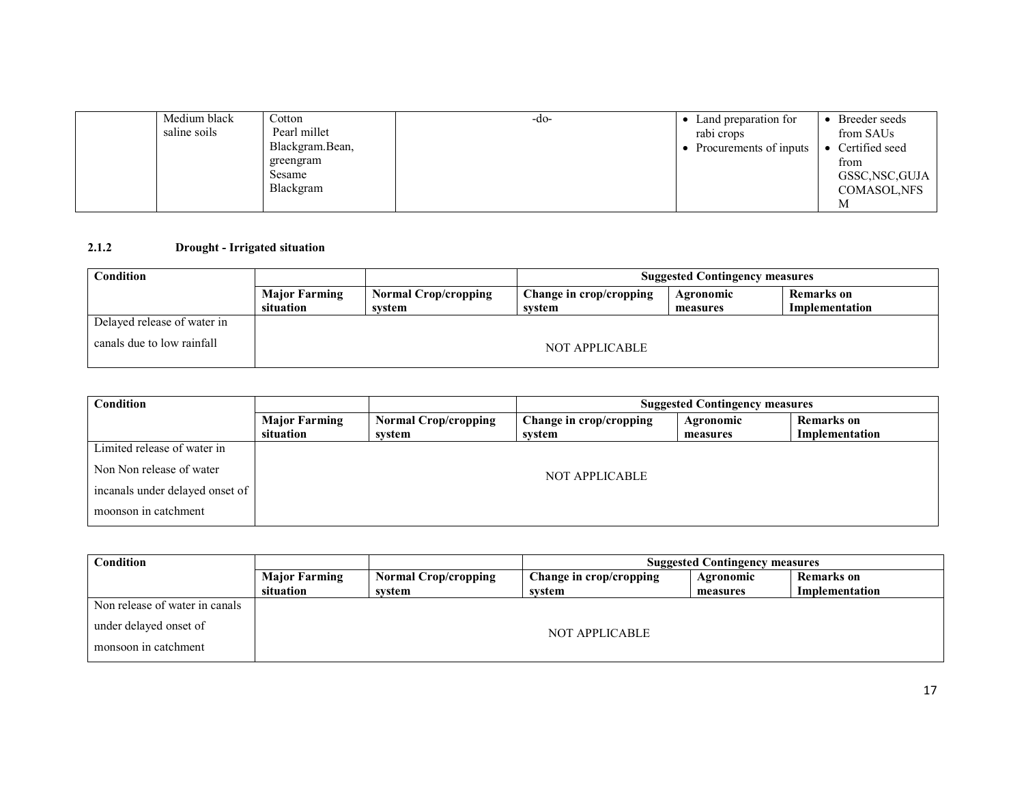| Medium black<br>saline soils | Cotton<br>Pearl millet<br>Blackgram. Bean,<br>greengram<br><b>Sesame</b> | -do- | Land preparation for<br>rabi crops<br>Procurements of inputs | Breeder seeds<br>from SAUs<br>Certified seed<br>from<br>GSSC, NSC, GUJA |
|------------------------------|--------------------------------------------------------------------------|------|--------------------------------------------------------------|-------------------------------------------------------------------------|
|                              | Blackgram                                                                |      |                                                              | <b>COMASOL, NFS</b><br>M                                                |

#### 2.1.2Drought - Irrigated situation

| Condition                   |                      |                             |                         | <b>Suggested Contingency measures</b> |                |
|-----------------------------|----------------------|-----------------------------|-------------------------|---------------------------------------|----------------|
|                             | <b>Major Farming</b> | <b>Normal Crop/cropping</b> | Change in crop/cropping | Agronomic                             | Remarks on     |
|                             | situation            | svstem                      | system                  | measures                              | Implementation |
| Delayed release of water in |                      |                             |                         |                                       |                |
| canals due to low rainfall  |                      |                             | NOT APPLICABLE          |                                       |                |

| Condition                       |                      |                             |                         | <b>Suggested Contingency measures</b> |                   |  |
|---------------------------------|----------------------|-----------------------------|-------------------------|---------------------------------------|-------------------|--|
|                                 | <b>Major Farming</b> | <b>Normal Crop/cropping</b> | Change in crop/cropping | Agronomic                             | <b>Remarks</b> on |  |
|                                 | situation            | system                      | system                  | measures                              | Implementation    |  |
| Limited release of water in     |                      |                             |                         |                                       |                   |  |
| Non Non release of water        |                      | NOT APPLICABLE              |                         |                                       |                   |  |
| incanals under delayed onset of |                      |                             |                         |                                       |                   |  |
| moonson in catchment            |                      |                             |                         |                                       |                   |  |

| Condition                      |                      |                             |                         | <b>Suggested Contingency measures</b> |                |  |  |
|--------------------------------|----------------------|-----------------------------|-------------------------|---------------------------------------|----------------|--|--|
|                                | <b>Major Farming</b> | <b>Normal Crop/cropping</b> | Change in crop/cropping | Agronomic                             | Remarks on     |  |  |
|                                | situation            | svstem                      | system                  | measures                              | Implementation |  |  |
| Non release of water in canals |                      |                             |                         |                                       |                |  |  |
| under delayed onset of         |                      | NOT APPLICABLE              |                         |                                       |                |  |  |
| monsoon in catchment           |                      |                             |                         |                                       |                |  |  |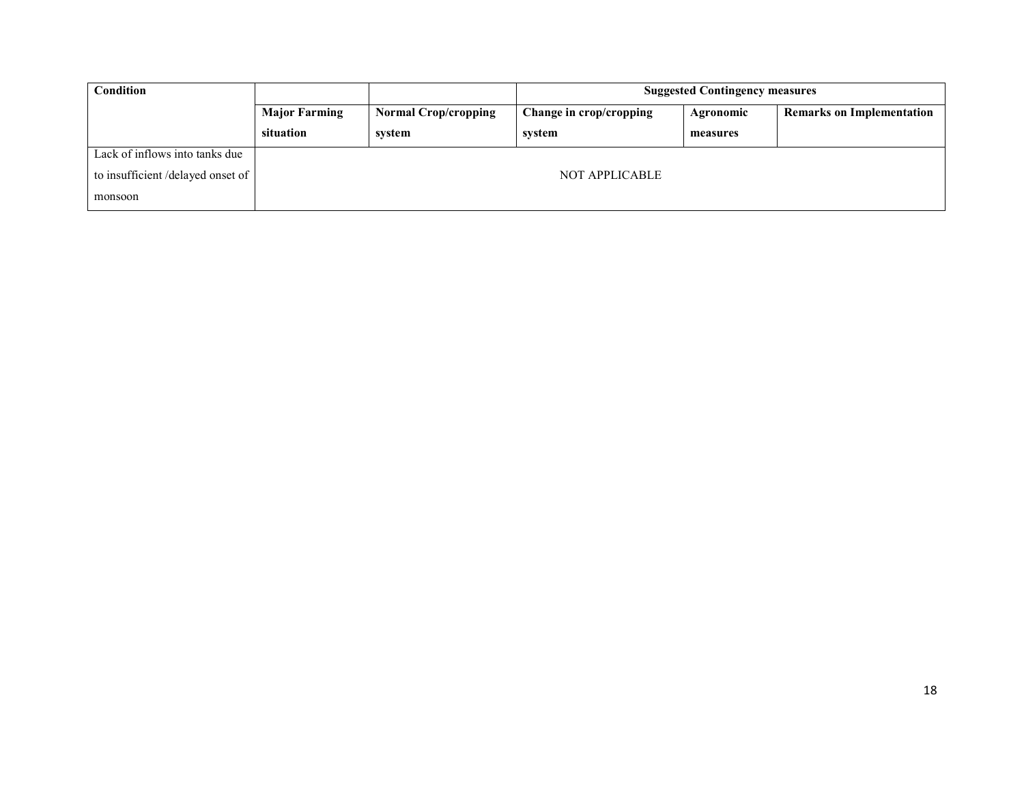| <b>Condition</b>                 |                      |                             |                         | <b>Suggested Contingency measures</b> |                                  |
|----------------------------------|----------------------|-----------------------------|-------------------------|---------------------------------------|----------------------------------|
|                                  | <b>Major Farming</b> | <b>Normal Crop/cropping</b> | Change in crop/cropping | Agronomic                             | <b>Remarks on Implementation</b> |
|                                  | situation            | svstem                      | system                  | measures                              |                                  |
| Lack of inflows into tanks due   |                      |                             |                         |                                       |                                  |
| to insufficient/delayed onset of |                      |                             | <b>NOT APPLICABLE</b>   |                                       |                                  |
| monsoon                          |                      |                             |                         |                                       |                                  |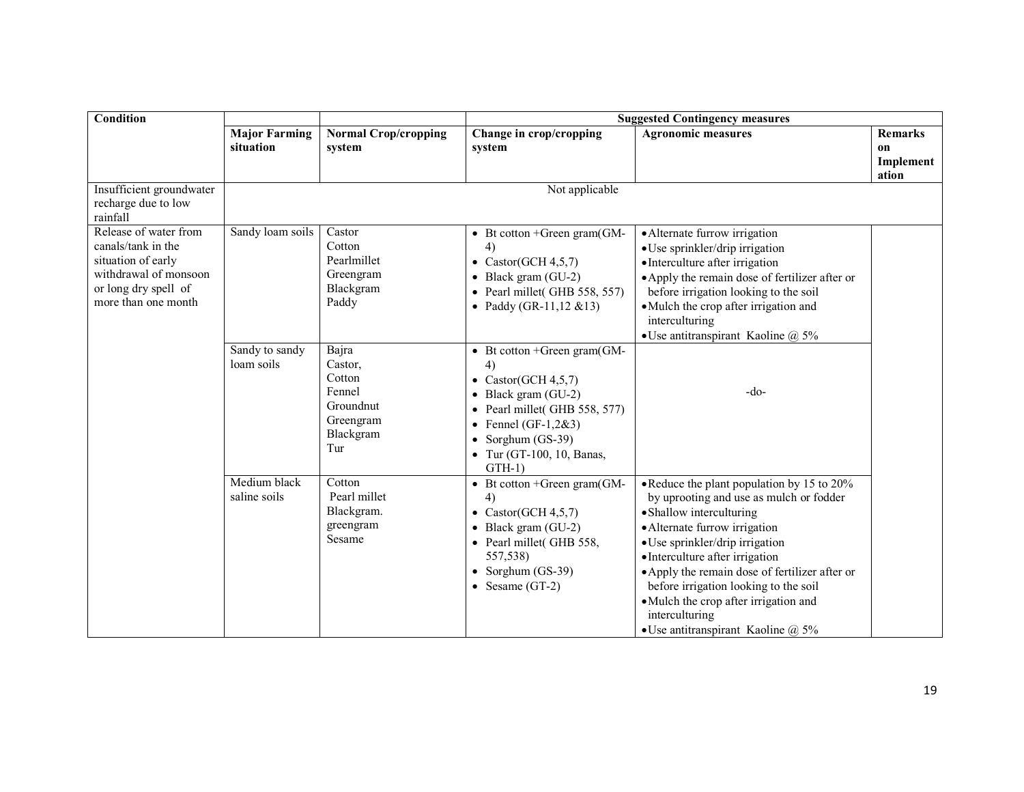| Condition                                                                                                                                 | <b>Suggested Contingency measures</b> |                                                                                    |                                                                                                                                                                                                                     |                                                                                                                                                                                                                                                                                                                                                                                                                            |                                                       |
|-------------------------------------------------------------------------------------------------------------------------------------------|---------------------------------------|------------------------------------------------------------------------------------|---------------------------------------------------------------------------------------------------------------------------------------------------------------------------------------------------------------------|----------------------------------------------------------------------------------------------------------------------------------------------------------------------------------------------------------------------------------------------------------------------------------------------------------------------------------------------------------------------------------------------------------------------------|-------------------------------------------------------|
|                                                                                                                                           | <b>Major Farming</b><br>situation     | <b>Normal Crop/cropping</b><br>system                                              | Change in crop/cropping<br>system                                                                                                                                                                                   | <b>Agronomic measures</b>                                                                                                                                                                                                                                                                                                                                                                                                  | <b>Remarks</b><br><sub>on</sub><br>Implement<br>ation |
| Insufficient groundwater<br>recharge due to low<br>rainfall                                                                               |                                       |                                                                                    | Not applicable                                                                                                                                                                                                      |                                                                                                                                                                                                                                                                                                                                                                                                                            |                                                       |
| Release of water from<br>canals/tank in the<br>situation of early<br>withdrawal of monsoon<br>or long dry spell of<br>more than one month | Sandy loam soils                      | Castor<br>Cotton<br>Pearlmillet<br>Greengram<br>Blackgram<br>Paddy                 | • Bt cotton +Green gram $(GM -$<br>4)<br>• Castor(GCH $4,5,7$ )<br>$\bullet$ Black gram (GU-2)<br>• Pearl millet(GHB 558, 557)<br>• Paddy (GR-11,12 $& 13$ )                                                        | · Alternate furrow irrigation<br>· Use sprinkler/drip irrigation<br>• Interculture after irrigation<br>• Apply the remain dose of fertilizer after or<br>before irrigation looking to the soil<br>• Mulch the crop after irrigation and<br>interculturing<br>• Use antitranspirant Kaoline $\omega$ 5%                                                                                                                     |                                                       |
|                                                                                                                                           | Sandy to sandy<br>loam soils          | Bajra<br>Castor,<br>Cotton<br>Fennel<br>Groundnut<br>Greengram<br>Blackgram<br>Tur | • Bt cotton +Green gram $(GM -$<br>4)<br>• Castor(GCH $4,5,7$ )<br>$\bullet$ Black gram (GU-2)<br>Pearl millet(GHB 558, 577)<br>• Fennel (GF-1,2&3)<br>• Sorghum $(GS-39)$<br>• Tur (GT-100, 10, Banas,<br>$GTH-1)$ | $-do-$                                                                                                                                                                                                                                                                                                                                                                                                                     |                                                       |
|                                                                                                                                           | Medium black<br>saline soils          | Cotton<br>Pearl millet<br>Blackgram.<br>greengram<br>Sesame                        | • Bt cotton +Green gram $(GM -$<br>$\left( 4\right)$<br>• Castor(GCH $4,5,7$ )<br>Black gram (GU-2)<br>• Pearl millet(GHB 558,<br>557,538)<br>• Sorghum $(GS-39)$<br>• Sesame $(GT-2)$                              | • Reduce the plant population by 15 to 20%<br>by uprooting and use as mulch or fodder<br>• Shallow interculturing<br>• Alternate furrow irrigation<br>• Use sprinkler/drip irrigation<br>• Interculture after irrigation<br>• Apply the remain dose of fertilizer after or<br>before irrigation looking to the soil<br>·Mulch the crop after irrigation and<br>interculturing<br>• Use antitranspirant Kaoline $\omega$ 5% |                                                       |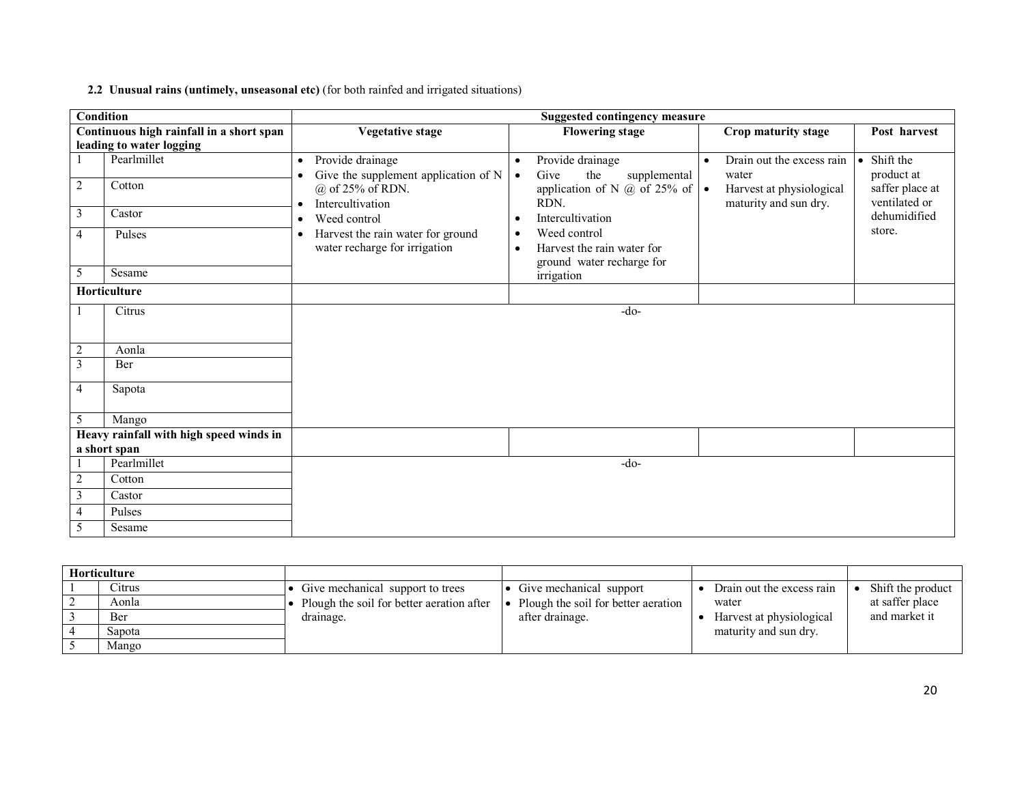#### 2.2 Unusual rains (untimely, unseasonal etc) (for both rainfed and irrigated situations)

|                | <b>Condition</b>                         | <b>Suggested contingency measure</b> |                                                                    |                        |                                                                         |           |                                                   |  |                                  |
|----------------|------------------------------------------|--------------------------------------|--------------------------------------------------------------------|------------------------|-------------------------------------------------------------------------|-----------|---------------------------------------------------|--|----------------------------------|
|                | Continuous high rainfall in a short span |                                      | <b>Vegetative stage</b>                                            |                        | <b>Flowering stage</b>                                                  |           | Crop maturity stage                               |  | Post harvest                     |
|                | leading to water logging                 |                                      |                                                                    |                        |                                                                         |           |                                                   |  |                                  |
|                | Pearlmillet                              | $\bullet$                            | Provide drainage<br>Give the supplement application of N           | $\bullet$<br>$\bullet$ | Provide drainage<br>Give<br>the<br>supplemental                         | $\bullet$ | Drain out the excess rain<br>water                |  | • Shift the<br>product at        |
| $\overline{2}$ | Cotton                                   |                                      | $(a)$ of 25% of RDN.<br>Intercultivation                           |                        | application of N $\omega$ of 25% of $\cdot$<br>RDN.                     |           | Harvest at physiological<br>maturity and sun dry. |  | saffer place at<br>ventilated or |
| 3              | Castor                                   | $\bullet$                            | Weed control                                                       | $\bullet$              | Intercultivation                                                        |           |                                                   |  | dehumidified                     |
| $\overline{4}$ | Pulses                                   | $\bullet$                            | Harvest the rain water for ground<br>water recharge for irrigation | $\bullet$<br>$\bullet$ | Weed control<br>Harvest the rain water for<br>ground water recharge for |           |                                                   |  | store.                           |
| 5              | Sesame                                   |                                      |                                                                    |                        | irrigation                                                              |           |                                                   |  |                                  |
|                | Horticulture                             |                                      |                                                                    |                        |                                                                         |           |                                                   |  |                                  |
|                | Citrus                                   |                                      |                                                                    |                        | $-do-$                                                                  |           |                                                   |  |                                  |
| $\overline{2}$ | Aonla                                    |                                      |                                                                    |                        |                                                                         |           |                                                   |  |                                  |
| 3              | Ber                                      |                                      |                                                                    |                        |                                                                         |           |                                                   |  |                                  |
| $\overline{4}$ | Sapota                                   |                                      |                                                                    |                        |                                                                         |           |                                                   |  |                                  |
| 5              | Mango                                    |                                      |                                                                    |                        |                                                                         |           |                                                   |  |                                  |
|                | Heavy rainfall with high speed winds in  |                                      |                                                                    |                        |                                                                         |           |                                                   |  |                                  |
|                | a short span                             |                                      |                                                                    |                        |                                                                         |           |                                                   |  |                                  |
|                | Pearlmillet                              |                                      |                                                                    |                        | $-do-$                                                                  |           |                                                   |  |                                  |
| $\overline{2}$ | Cotton                                   |                                      |                                                                    |                        |                                                                         |           |                                                   |  |                                  |
| 3              | Castor                                   |                                      |                                                                    |                        |                                                                         |           |                                                   |  |                                  |
| $\overline{4}$ | Pulses                                   |                                      |                                                                    |                        |                                                                         |           |                                                   |  |                                  |
| 5              | Sesame                                   |                                      |                                                                    |                        |                                                                         |           |                                                   |  |                                  |

| Horticulture |                                             |                                       |                           |                   |
|--------------|---------------------------------------------|---------------------------------------|---------------------------|-------------------|
| . ltrus      | • Give mechanical support to trees          | • Give mechanical support             | Drain out the excess rain | Shift the product |
| Aonla        | • Plough the soil for better aeration after | • Plough the soil for better aeration | water                     | at saffer place   |
| Ber          | drainage.                                   | after drainage.                       | Harvest at physiological  | and market it     |
| Sapota       |                                             |                                       | maturity and sun dry.     |                   |
| Mango        |                                             |                                       |                           |                   |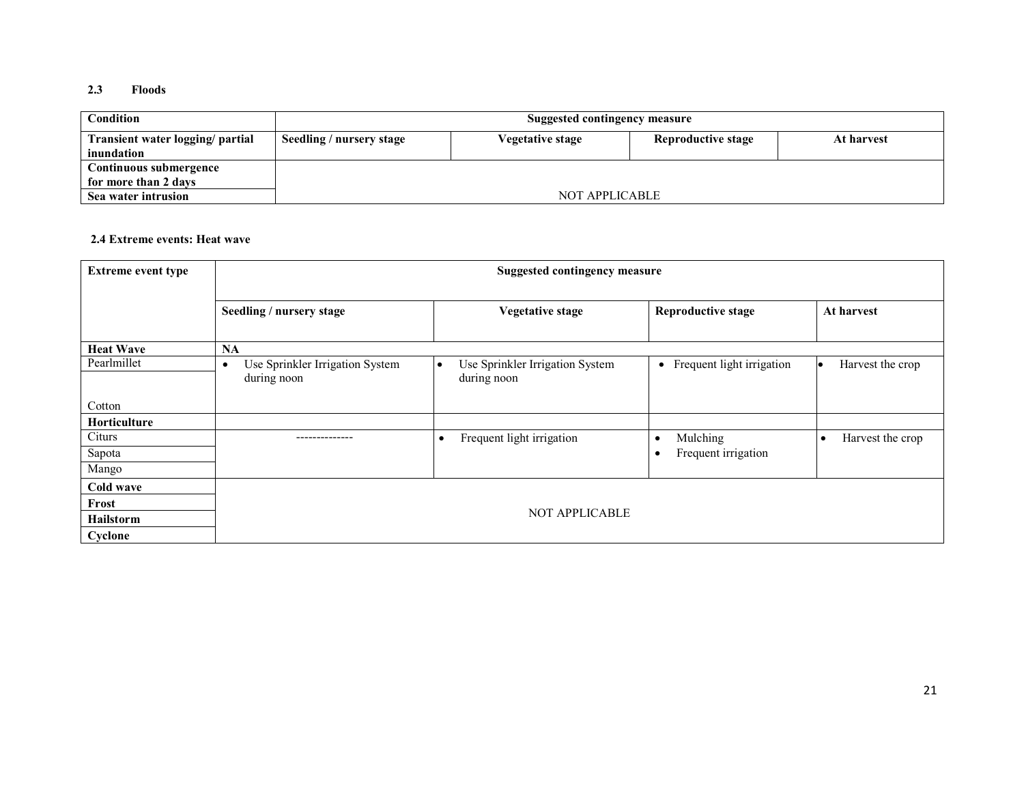#### 2.3 Floods

| Condition                        |                          | Suggested contingency measure |                    |            |  |  |  |
|----------------------------------|--------------------------|-------------------------------|--------------------|------------|--|--|--|
| Transient water logging/ partial | Seedling / nursery stage | Vegetative stage              | Reproductive stage | At harvest |  |  |  |
| inundation                       |                          |                               |                    |            |  |  |  |
| Continuous submergence           |                          |                               |                    |            |  |  |  |
| for more than 2 days             |                          |                               |                    |            |  |  |  |
| Sea water intrusion              |                          | NOT APPLICABLE                |                    |            |  |  |  |

#### 2.4 Extreme events: Heat wave

| <b>Extreme event type</b> | <b>Suggested contingency measure</b>                        |                                                |                                  |                               |  |  |
|---------------------------|-------------------------------------------------------------|------------------------------------------------|----------------------------------|-------------------------------|--|--|
|                           | Seedling / nursery stage                                    | <b>Vegetative stage</b>                        | <b>Reproductive stage</b>        | At harvest                    |  |  |
| <b>Heat Wave</b>          | <b>NA</b>                                                   |                                                |                                  |                               |  |  |
| Pearlmillet               | Use Sprinkler Irrigation System<br>$\bullet$<br>during noon | Use Sprinkler Irrigation System<br>during noon | • Frequent light irrigation      | Harvest the crop              |  |  |
| Cotton                    |                                                             |                                                |                                  |                               |  |  |
| <b>Horticulture</b>       |                                                             |                                                |                                  |                               |  |  |
| Citurs                    |                                                             | Frequent light irrigation<br>$\bullet$         | Mulching<br>$\bullet$            | Harvest the crop<br>$\bullet$ |  |  |
| Sapota                    |                                                             |                                                | Frequent irrigation<br>$\bullet$ |                               |  |  |
| Mango                     |                                                             |                                                |                                  |                               |  |  |
| Cold wave                 |                                                             |                                                |                                  |                               |  |  |
| Frost                     |                                                             |                                                |                                  |                               |  |  |
| <b>Hailstorm</b>          |                                                             | <b>NOT APPLICABLE</b>                          |                                  |                               |  |  |
| Cyclone                   |                                                             |                                                |                                  |                               |  |  |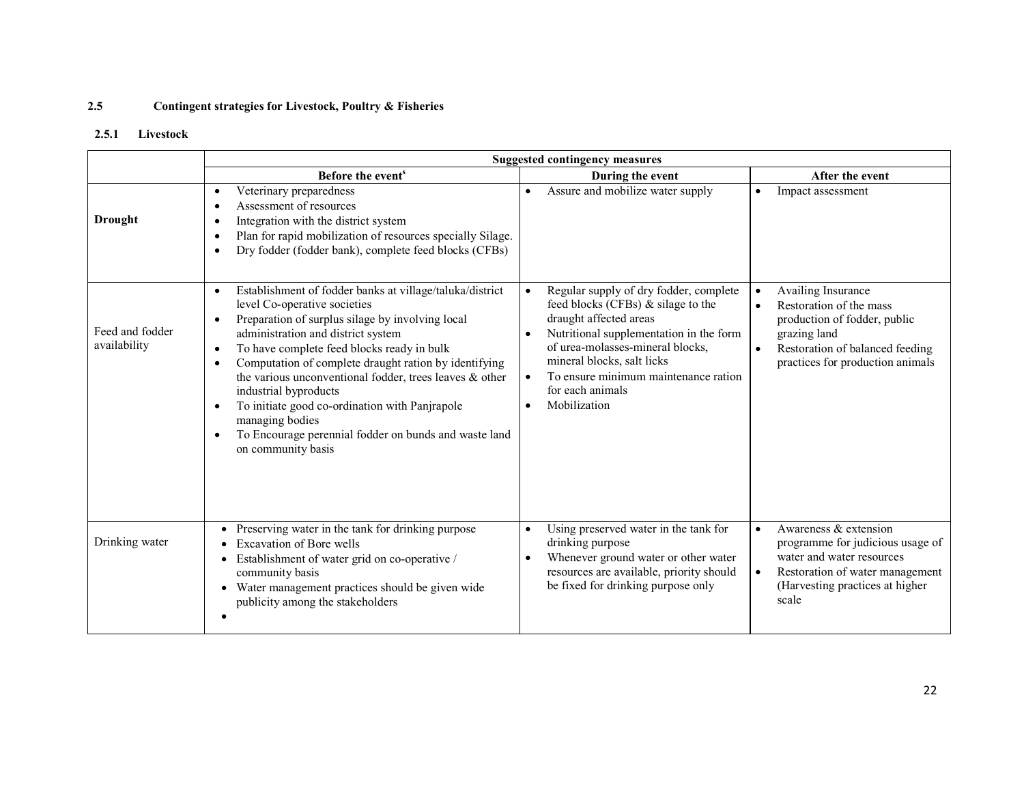#### 2.5Contingent strategies for Livestock, Poultry & Fisheries

## 2.5.1 Livestock

|                                 | <b>Suggested contingency measures</b>                                                                                                                                                                                                                                                                                                                                                                                                                                                                                                                                                              |                                                                                                                                                                                                                                                                                                                           |                                                                                                                                                                                                             |  |  |
|---------------------------------|----------------------------------------------------------------------------------------------------------------------------------------------------------------------------------------------------------------------------------------------------------------------------------------------------------------------------------------------------------------------------------------------------------------------------------------------------------------------------------------------------------------------------------------------------------------------------------------------------|---------------------------------------------------------------------------------------------------------------------------------------------------------------------------------------------------------------------------------------------------------------------------------------------------------------------------|-------------------------------------------------------------------------------------------------------------------------------------------------------------------------------------------------------------|--|--|
|                                 | Before the event <sup>s</sup>                                                                                                                                                                                                                                                                                                                                                                                                                                                                                                                                                                      | During the event                                                                                                                                                                                                                                                                                                          | After the event                                                                                                                                                                                             |  |  |
| <b>Drought</b>                  | Veterinary preparedness<br>٠<br>Assessment of resources<br>٠<br>Integration with the district system<br>٠<br>Plan for rapid mobilization of resources specially Silage.<br>٠<br>Dry fodder (fodder bank), complete feed blocks (CFBs)<br>$\bullet$                                                                                                                                                                                                                                                                                                                                                 | Assure and mobilize water supply                                                                                                                                                                                                                                                                                          | Impact assessment<br>$\bullet$                                                                                                                                                                              |  |  |
| Feed and fodder<br>availability | Establishment of fodder banks at village/taluka/district<br>$\bullet$<br>level Co-operative societies<br>Preparation of surplus silage by involving local<br>$\bullet$<br>administration and district system<br>To have complete feed blocks ready in bulk<br>$\bullet$<br>Computation of complete draught ration by identifying<br>the various unconventional fodder, trees leaves & other<br>industrial byproducts<br>To initiate good co-ordination with Panjrapole<br>$\bullet$<br>managing bodies<br>To Encourage perennial fodder on bunds and waste land<br>$\bullet$<br>on community basis | Regular supply of dry fodder, complete<br>$\bullet$<br>feed blocks (CFBs) & silage to the<br>draught affected areas<br>Nutritional supplementation in the form<br>of urea-molasses-mineral blocks,<br>mineral blocks, salt licks<br>To ensure minimum maintenance ration<br>$\bullet$<br>for each animals<br>Mobilization | Availing Insurance<br>$\bullet$<br>Restoration of the mass<br>$\bullet$<br>production of fodder, public<br>grazing land<br>Restoration of balanced feeding<br>$\bullet$<br>practices for production animals |  |  |
| Drinking water                  | Preserving water in the tank for drinking purpose<br><b>Excavation of Bore wells</b><br>Establishment of water grid on co-operative /<br>community basis<br>Water management practices should be given wide<br>publicity among the stakeholders                                                                                                                                                                                                                                                                                                                                                    | Using preserved water in the tank for<br>drinking purpose<br>Whenever ground water or other water<br>٠<br>resources are available, priority should<br>be fixed for drinking purpose only                                                                                                                                  | Awareness & extension<br>$\bullet$<br>programme for judicious usage of<br>water and water resources<br>Restoration of water management<br>$\bullet$<br>(Harvesting practices at higher)<br>scale            |  |  |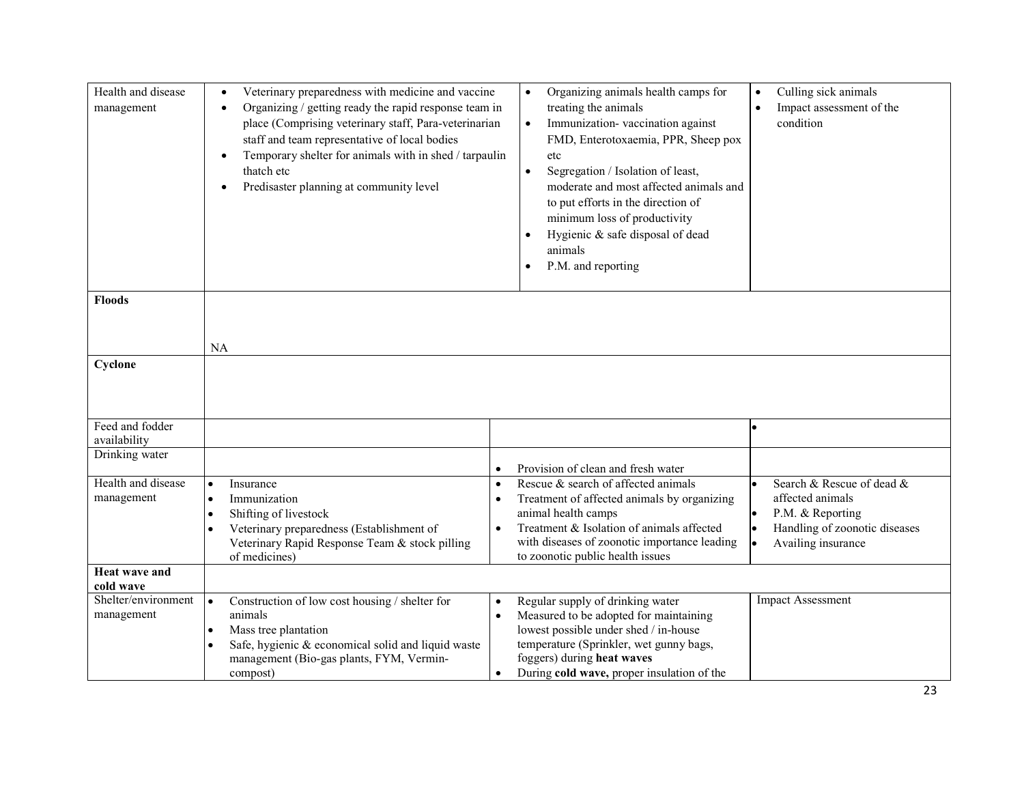| Health and disease<br>management  | Veterinary preparedness with medicine and vaccine<br>Organizing / getting ready the rapid response team in<br>place (Comprising veterinary staff, Para-veterinarian<br>staff and team representative of local bodies<br>Temporary shelter for animals with in shed / tarpaulin<br>thatch etc<br>Predisaster planning at community level | Organizing animals health camps for<br>$\bullet$<br>treating the animals<br>Immunization-vaccination against<br>$\bullet$<br>FMD, Enterotoxaemia, PPR, Sheep pox<br>etc<br>Segregation / Isolation of least,<br>$\bullet$<br>moderate and most affected animals and<br>to put efforts in the direction of<br>minimum loss of productivity<br>Hygienic & safe disposal of dead<br>animals<br>P.M. and reporting | Culling sick animals<br>$\bullet$<br>Impact assessment of the<br>$\bullet$<br>condition                                        |
|-----------------------------------|-----------------------------------------------------------------------------------------------------------------------------------------------------------------------------------------------------------------------------------------------------------------------------------------------------------------------------------------|----------------------------------------------------------------------------------------------------------------------------------------------------------------------------------------------------------------------------------------------------------------------------------------------------------------------------------------------------------------------------------------------------------------|--------------------------------------------------------------------------------------------------------------------------------|
| <b>Floods</b>                     |                                                                                                                                                                                                                                                                                                                                         |                                                                                                                                                                                                                                                                                                                                                                                                                |                                                                                                                                |
| Cyclone                           | <b>NA</b>                                                                                                                                                                                                                                                                                                                               |                                                                                                                                                                                                                                                                                                                                                                                                                |                                                                                                                                |
| Feed and fodder<br>availability   |                                                                                                                                                                                                                                                                                                                                         |                                                                                                                                                                                                                                                                                                                                                                                                                |                                                                                                                                |
| Drinking water                    | $\bullet$                                                                                                                                                                                                                                                                                                                               | Provision of clean and fresh water                                                                                                                                                                                                                                                                                                                                                                             |                                                                                                                                |
| Health and disease<br>management  | Insurance<br>$\bullet$<br>$\bullet$<br>Immunization<br>$\bullet$<br>$\bullet$<br>Shifting of livestock<br>$\bullet$<br>Veterinary preparedness (Establishment of<br>$\bullet$<br>Veterinary Rapid Response Team & stock pilling<br>of medicines)                                                                                        | Rescue & search of affected animals<br>Treatment of affected animals by organizing<br>animal health camps<br>Treatment & Isolation of animals affected<br>with diseases of zoonotic importance leading<br>to zoonotic public health issues                                                                                                                                                                     | Search & Rescue of dead &<br>affected animals<br>P.M. & Reporting<br>Handling of zoonotic diseases<br>Availing insurance<br>l. |
| Heat wave and<br>cold wave        |                                                                                                                                                                                                                                                                                                                                         |                                                                                                                                                                                                                                                                                                                                                                                                                |                                                                                                                                |
| Shelter/environment<br>management | Construction of low cost housing / shelter for<br>$\bullet$<br>$\bullet$<br>animals<br>$\bullet$<br>Mass tree plantation<br>$\bullet$<br>Safe, hygienic & economical solid and liquid waste<br>$\bullet$<br>management (Bio-gas plants, FYM, Vermin-<br>compost)<br>$\bullet$                                                           | Regular supply of drinking water<br>Measured to be adopted for maintaining<br>lowest possible under shed / in-house<br>temperature (Sprinkler, wet gunny bags,<br>foggers) during heat waves<br>During cold wave, proper insulation of the                                                                                                                                                                     | <b>Impact Assessment</b>                                                                                                       |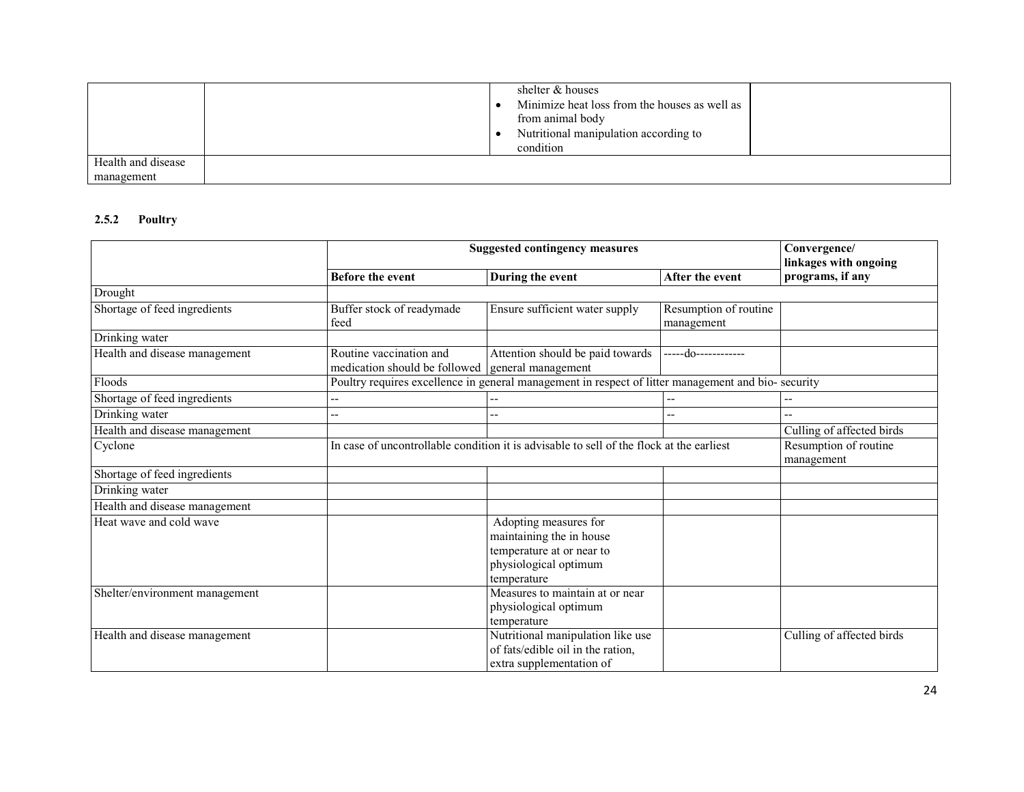|                    | shelter & houses                              |
|--------------------|-----------------------------------------------|
|                    | Minimize heat loss from the houses as well as |
|                    | from animal body                              |
|                    | Nutritional manipulation according to         |
|                    | condition                                     |
| Health and disease |                                               |
| management         |                                               |

### 2.5.2 Poultry

|                                | <b>Suggested contingency measures</b>                                                              |                                                                                          |                       | Convergence/<br>linkages with ongoing |
|--------------------------------|----------------------------------------------------------------------------------------------------|------------------------------------------------------------------------------------------|-----------------------|---------------------------------------|
|                                | <b>Before the event</b>                                                                            | During the event                                                                         | After the event       | programs, if any                      |
| Drought                        |                                                                                                    |                                                                                          |                       |                                       |
| Shortage of feed ingredients   | Buffer stock of readymade                                                                          | Ensure sufficient water supply                                                           | Resumption of routine |                                       |
|                                | feed                                                                                               |                                                                                          | management            |                                       |
| Drinking water                 |                                                                                                    |                                                                                          |                       |                                       |
| Health and disease management  | Routine vaccination and<br>medication should be followed                                           | Attention should be paid towards<br>general management                                   | -----do------------   |                                       |
| Floods                         | Poultry requires excellence in general management in respect of litter management and bio-security |                                                                                          |                       |                                       |
| Shortage of feed ingredients   |                                                                                                    |                                                                                          |                       |                                       |
| Drinking water                 | --                                                                                                 |                                                                                          |                       | $\overline{\phantom{a}}$              |
| Health and disease management  |                                                                                                    |                                                                                          |                       | Culling of affected birds             |
| Cyclone                        |                                                                                                    | In case of uncontrollable condition it is advisable to sell of the flock at the earliest |                       | Resumption of routine<br>management   |
| Shortage of feed ingredients   |                                                                                                    |                                                                                          |                       |                                       |
| Drinking water                 |                                                                                                    |                                                                                          |                       |                                       |
| Health and disease management  |                                                                                                    |                                                                                          |                       |                                       |
| Heat wave and cold wave        |                                                                                                    | Adopting measures for                                                                    |                       |                                       |
|                                |                                                                                                    | maintaining the in house                                                                 |                       |                                       |
|                                |                                                                                                    | temperature at or near to                                                                |                       |                                       |
|                                |                                                                                                    | physiological optimum                                                                    |                       |                                       |
|                                |                                                                                                    | temperature                                                                              |                       |                                       |
| Shelter/environment management |                                                                                                    | Measures to maintain at or near                                                          |                       |                                       |
|                                |                                                                                                    | physiological optimum                                                                    |                       |                                       |
|                                |                                                                                                    | temperature                                                                              |                       |                                       |
| Health and disease management  |                                                                                                    | Nutritional manipulation like use<br>of fats/edible oil in the ration,                   |                       | Culling of affected birds             |
|                                |                                                                                                    | extra supplementation of                                                                 |                       |                                       |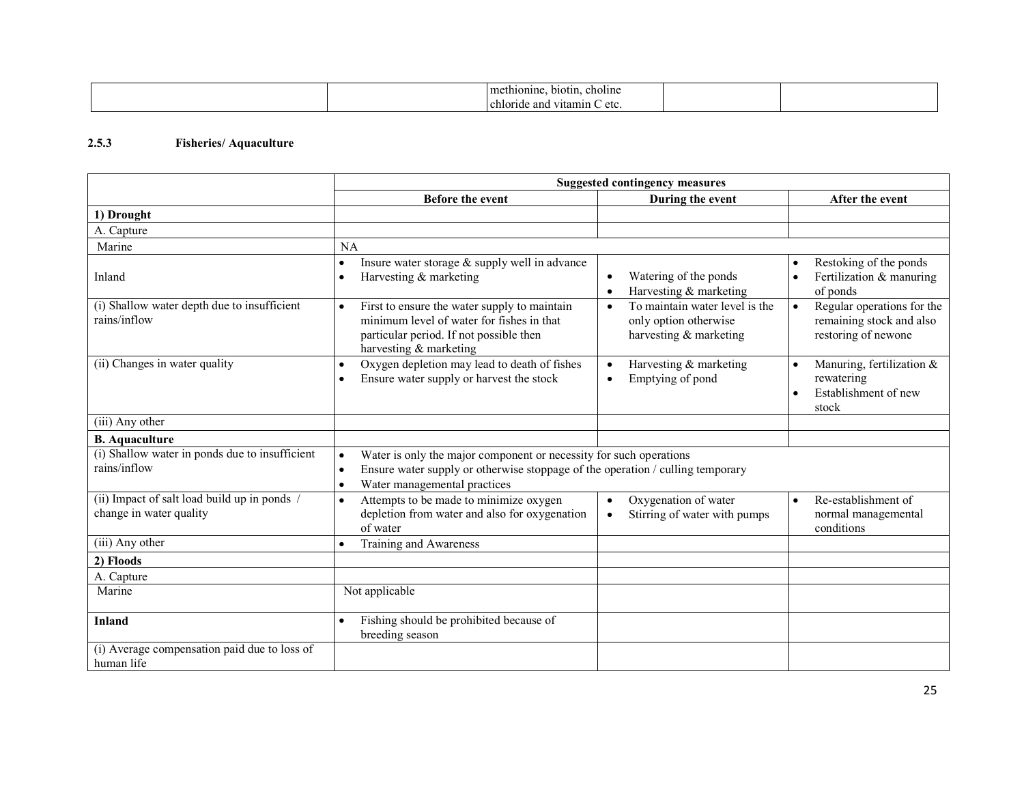| methionine.<br>b10t111.<br>choline   |  |
|--------------------------------------|--|
| chloride and<br>س vitamin v<br>`etc. |  |

#### 2.5.3 Fisheries/ Aquaculture

|                                                                       | <b>Suggested contingency measures</b>                                                                                                                                                                                       |                                                                                                |                                                                                            |
|-----------------------------------------------------------------------|-----------------------------------------------------------------------------------------------------------------------------------------------------------------------------------------------------------------------------|------------------------------------------------------------------------------------------------|--------------------------------------------------------------------------------------------|
|                                                                       | <b>Before the event</b>                                                                                                                                                                                                     | During the event                                                                               | After the event                                                                            |
| 1) Drought                                                            |                                                                                                                                                                                                                             |                                                                                                |                                                                                            |
| A. Capture                                                            |                                                                                                                                                                                                                             |                                                                                                |                                                                                            |
| Marine                                                                | NA                                                                                                                                                                                                                          |                                                                                                |                                                                                            |
| Inland                                                                | Insure water storage & supply well in advance<br>٠<br>Harvesting & marketing<br>$\bullet$                                                                                                                                   | Watering of the ponds<br>$\bullet$<br>Harvesting & marketing<br>$\bullet$                      | Restoking of the ponds<br>$\bullet$<br>Fertilization & manuring<br>$\bullet$<br>of ponds   |
| (i) Shallow water depth due to insufficient<br>rains/inflow           | First to ensure the water supply to maintain<br>$\bullet$<br>minimum level of water for fishes in that<br>particular period. If not possible then<br>harvesting & marketing                                                 | To maintain water level is the<br>$\bullet$<br>only option otherwise<br>harvesting & marketing | Regular operations for the<br>$\bullet$<br>remaining stock and also<br>restoring of newone |
| (ii) Changes in water quality                                         | Oxygen depletion may lead to death of fishes<br>$\bullet$<br>Ensure water supply or harvest the stock                                                                                                                       | Harvesting & marketing<br>$\bullet$<br>Emptying of pond<br>٠                                   | Manuring, fertilization &<br>$\bullet$<br>rewatering<br>Establishment of new<br>stock      |
| (iii) Any other                                                       |                                                                                                                                                                                                                             |                                                                                                |                                                                                            |
| <b>B.</b> Aquaculture                                                 |                                                                                                                                                                                                                             |                                                                                                |                                                                                            |
| (i) Shallow water in ponds due to insufficient<br>rains/inflow        | Water is only the major component or necessity for such operations<br>$\bullet$<br>Ensure water supply or otherwise stoppage of the operation / culling temporary<br>$\bullet$<br>Water managemental practices<br>$\bullet$ |                                                                                                |                                                                                            |
| (ii) Impact of salt load build up in ponds<br>change in water quality | Attempts to be made to minimize oxygen<br>$\bullet$<br>depletion from water and also for oxygenation<br>of water                                                                                                            | Oxygenation of water<br>$\bullet$<br>Stirring of water with pumps<br>$\bullet$                 | Re-establishment of<br>$\bullet$<br>normal managemental<br>conditions                      |
| (iii) Any other                                                       | Training and Awareness                                                                                                                                                                                                      |                                                                                                |                                                                                            |
| 2) Floods                                                             |                                                                                                                                                                                                                             |                                                                                                |                                                                                            |
| A. Capture                                                            |                                                                                                                                                                                                                             |                                                                                                |                                                                                            |
| Marine                                                                | Not applicable                                                                                                                                                                                                              |                                                                                                |                                                                                            |
| <b>Inland</b>                                                         | Fishing should be prohibited because of<br>$\bullet$<br>breeding season                                                                                                                                                     |                                                                                                |                                                                                            |
| (i) Average compensation paid due to loss of<br>human life            |                                                                                                                                                                                                                             |                                                                                                |                                                                                            |